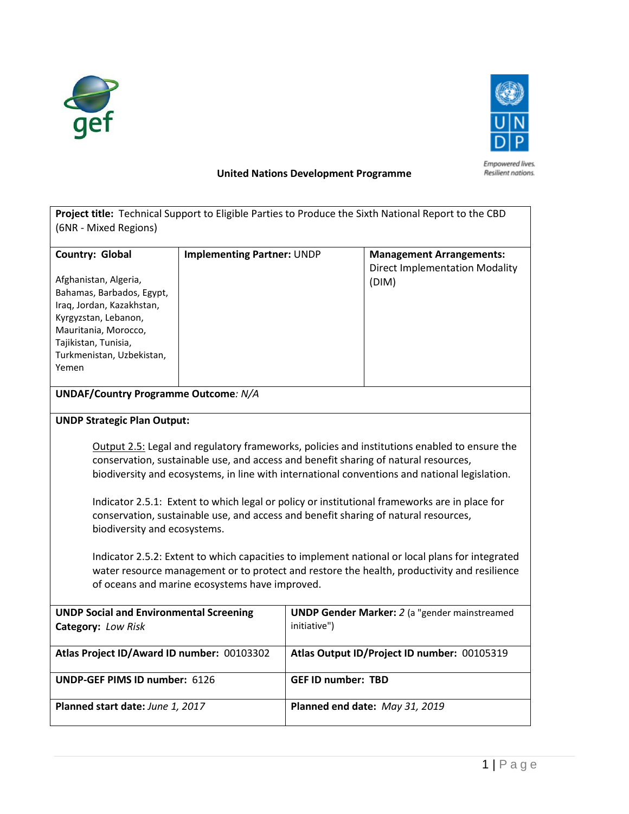



## **United Nations Development Programme**

| (6NR - Mixed Regions)                                                                                                                                                                                                                            |                                   |                                                                      | Project title: Technical Support to Eligible Parties to Produce the Sixth National Report to the CBD                                                                                                                                                                                 |  |  |  |  |  |
|--------------------------------------------------------------------------------------------------------------------------------------------------------------------------------------------------------------------------------------------------|-----------------------------------|----------------------------------------------------------------------|--------------------------------------------------------------------------------------------------------------------------------------------------------------------------------------------------------------------------------------------------------------------------------------|--|--|--|--|--|
|                                                                                                                                                                                                                                                  |                                   |                                                                      |                                                                                                                                                                                                                                                                                      |  |  |  |  |  |
| <b>Country: Global</b>                                                                                                                                                                                                                           | <b>Implementing Partner: UNDP</b> |                                                                      | <b>Management Arrangements:</b><br><b>Direct Implementation Modality</b>                                                                                                                                                                                                             |  |  |  |  |  |
| Afghanistan, Algeria,<br>Bahamas, Barbados, Egypt,<br>Iraq, Jordan, Kazakhstan,<br>Kyrgyzstan, Lebanon,<br>Mauritania, Morocco,<br>Tajikistan, Tunisia,<br>Turkmenistan, Uzbekistan,<br>Yemen                                                    |                                   |                                                                      | (DIM)                                                                                                                                                                                                                                                                                |  |  |  |  |  |
| <b>UNDAF/Country Programme Outcome: N/A</b>                                                                                                                                                                                                      |                                   |                                                                      |                                                                                                                                                                                                                                                                                      |  |  |  |  |  |
| <b>UNDP Strategic Plan Output:</b>                                                                                                                                                                                                               |                                   |                                                                      |                                                                                                                                                                                                                                                                                      |  |  |  |  |  |
|                                                                                                                                                                                                                                                  |                                   |                                                                      | Output 2.5: Legal and regulatory frameworks, policies and institutions enabled to ensure the<br>conservation, sustainable use, and access and benefit sharing of natural resources,<br>biodiversity and ecosystems, in line with international conventions and national legislation. |  |  |  |  |  |
| biodiversity and ecosystems.                                                                                                                                                                                                                     |                                   |                                                                      | Indicator 2.5.1: Extent to which legal or policy or institutional frameworks are in place for<br>conservation, sustainable use, and access and benefit sharing of natural resources,                                                                                                 |  |  |  |  |  |
| Indicator 2.5.2: Extent to which capacities to implement national or local plans for integrated<br>water resource management or to protect and restore the health, productivity and resilience<br>of oceans and marine ecosystems have improved. |                                   |                                                                      |                                                                                                                                                                                                                                                                                      |  |  |  |  |  |
| <b>UNDP Social and Environmental Screening</b><br>Category: Low Risk                                                                                                                                                                             |                                   | <b>UNDP Gender Marker:</b> 2 (a "gender mainstreamed<br>initiative") |                                                                                                                                                                                                                                                                                      |  |  |  |  |  |
| Atlas Project ID/Award ID number: 00103302                                                                                                                                                                                                       |                                   | Atlas Output ID/Project ID number: 00105319                          |                                                                                                                                                                                                                                                                                      |  |  |  |  |  |
| <b>UNDP-GEF PIMS ID number: 6126</b>                                                                                                                                                                                                             |                                   | <b>GEF ID number: TBD</b>                                            |                                                                                                                                                                                                                                                                                      |  |  |  |  |  |
| Planned start date: June 1, 2017                                                                                                                                                                                                                 |                                   | Planned end date: May 31, 2019                                       |                                                                                                                                                                                                                                                                                      |  |  |  |  |  |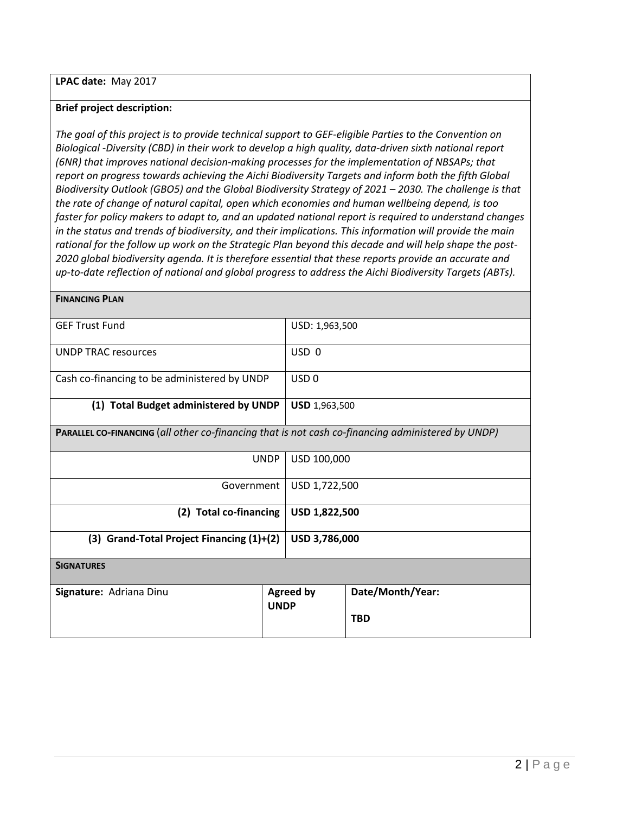**LPAC date:** May 2017

**FINANCING PLAN**

#### **Brief project description:**

*The goal of this project is to provide technical support to GEF-eligible Parties to the Convention on Biological -Diversity (CBD) in their work to develop a high quality, data-driven sixth national report (6NR) that improves national decision-making processes for the implementation of NBSAPs; that report on progress towards achieving the Aichi Biodiversity Targets and inform both the fifth Global Biodiversity Outlook (GBO5) and the Global Biodiversity Strategy of 2021 – 2030. The challenge is that the rate of change of natural capital, open which economies and human wellbeing depend, is too faster for policy makers to adapt to, and an updated national report is required to understand changes in the status and trends of biodiversity, and their implications. This information will provide the main rational for the follow up work on the Strategic Plan beyond this decade and will help shape the post-2020 global biodiversity agenda. It is therefore essential that these reports provide an accurate and up-to-date reflection of national and global progress to address the Aichi Biodiversity Targets (ABTs).*

| <b>GEF Trust Fund</b>                                                                             | USD: 1,963,500 |                  |                                |  |  |  |  |  |
|---------------------------------------------------------------------------------------------------|----------------|------------------|--------------------------------|--|--|--|--|--|
| <b>UNDP TRAC resources</b>                                                                        |                | USD <sub>0</sub> |                                |  |  |  |  |  |
| Cash co-financing to be administered by UNDP                                                      |                | USD <sub>0</sub> |                                |  |  |  |  |  |
| (1) Total Budget administered by UNDP                                                             | USD 1,963,500  |                  |                                |  |  |  |  |  |
| PARALLEL CO-FINANCING (all other co-financing that is not cash co-financing administered by UNDP) |                |                  |                                |  |  |  |  |  |
|                                                                                                   | <b>UNDP</b>    | USD 100,000      |                                |  |  |  |  |  |
| Government                                                                                        |                | USD 1,722,500    |                                |  |  |  |  |  |
| (2) Total co-financing                                                                            |                | USD 1,822,500    |                                |  |  |  |  |  |
| (3) Grand-Total Project Financing $(1)+(2)$                                                       |                | USD 3,786,000    |                                |  |  |  |  |  |
| <b>SIGNATURES</b>                                                                                 |                |                  |                                |  |  |  |  |  |
| Signature: Adriana Dinu<br><b>UNDP</b>                                                            |                | <b>Agreed by</b> | Date/Month/Year:<br><b>TBD</b> |  |  |  |  |  |
|                                                                                                   |                |                  |                                |  |  |  |  |  |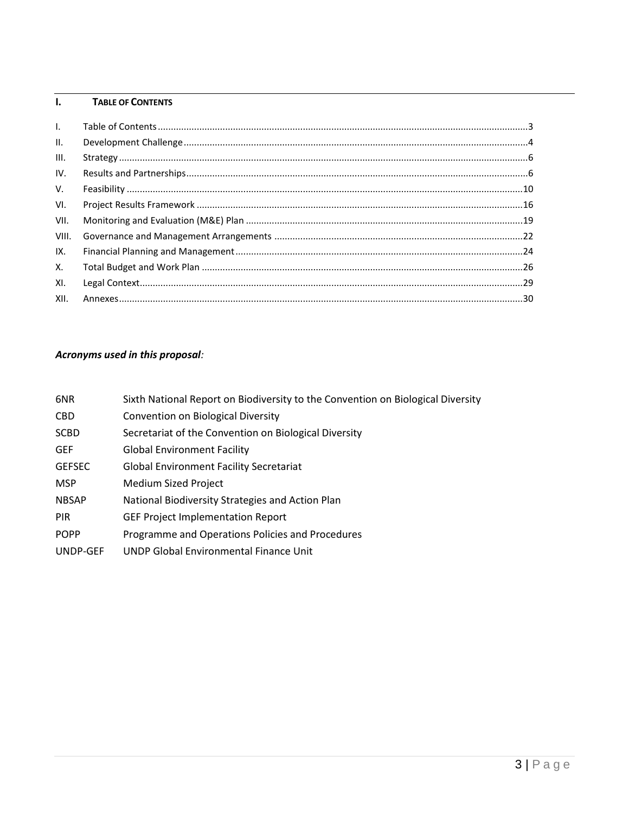## <span id="page-2-0"></span>**I. TABLE OF CONTENTS**

| $\mathbf{L}$    |  |
|-----------------|--|
| $\mathbf{II}$ . |  |
| III.            |  |
| IV.             |  |
| V.              |  |
| VI.             |  |
| VII.            |  |
| VIII.           |  |
| IX.             |  |
| Χ.              |  |
| XI.             |  |
| XII.            |  |

## *Acronyms used in this proposal:*

| 6NR           | Sixth National Report on Biodiversity to the Convention on Biological Diversity |
|---------------|---------------------------------------------------------------------------------|
| <b>CBD</b>    | Convention on Biological Diversity                                              |
| <b>SCBD</b>   | Secretariat of the Convention on Biological Diversity                           |
| <b>GEF</b>    | <b>Global Environment Facility</b>                                              |
| <b>GEFSEC</b> | <b>Global Environment Facility Secretariat</b>                                  |
| <b>MSP</b>    | <b>Medium Sized Project</b>                                                     |
| <b>NBSAP</b>  | National Biodiversity Strategies and Action Plan                                |
| <b>PIR</b>    | <b>GEF Project Implementation Report</b>                                        |
| <b>POPP</b>   | Programme and Operations Policies and Procedures                                |
| UNDP-GEF      | <b>UNDP Global Environmental Finance Unit</b>                                   |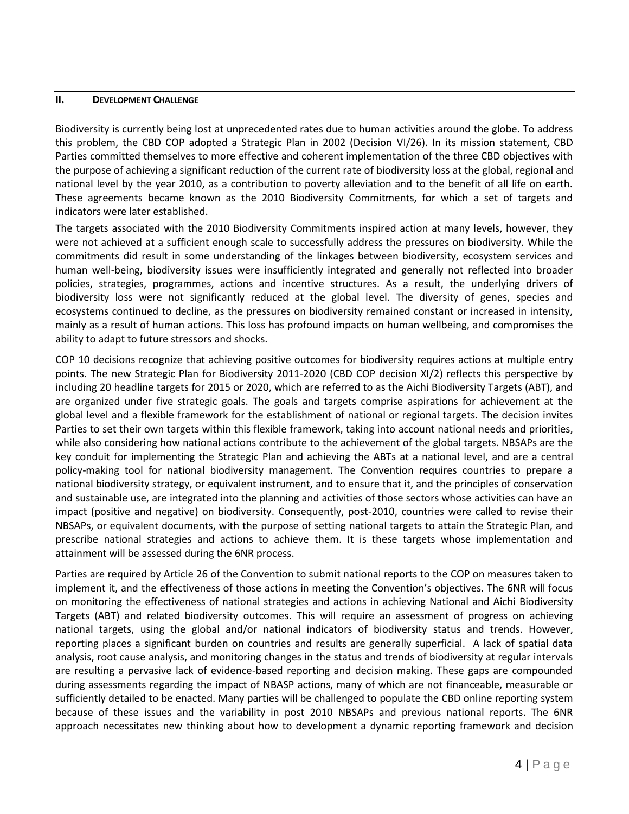#### <span id="page-3-0"></span>**II. DEVELOPMENT CHALLENGE**

Biodiversity is currently being lost at unprecedented rates due to human activities around the globe. To address this problem, the CBD COP adopted a Strategic Plan in 2002 (Decision VI/26). In its mission statement, CBD Parties committed themselves to more effective and coherent implementation of the three CBD objectives with the purpose of achieving a significant reduction of the current rate of biodiversity loss at the global, regional and national level by the year 2010, as a contribution to poverty alleviation and to the benefit of all life on earth. These agreements became known as the 2010 Biodiversity Commitments, for which a set of targets and indicators were later established.

The targets associated with the 2010 Biodiversity Commitments inspired action at many levels, however, they were not achieved at a sufficient enough scale to successfully address the pressures on biodiversity. While the commitments did result in some understanding of the linkages between biodiversity, ecosystem services and human well-being, biodiversity issues were insufficiently integrated and generally not reflected into broader policies, strategies, programmes, actions and incentive structures. As a result, the underlying drivers of biodiversity loss were not significantly reduced at the global level. The diversity of genes, species and ecosystems continued to decline, as the pressures on biodiversity remained constant or increased in intensity, mainly as a result of human actions. This loss has profound impacts on human wellbeing, and compromises the ability to adapt to future stressors and shocks.

COP 10 decisions recognize that achieving positive outcomes for biodiversity requires actions at multiple entry points. The new Strategic Plan for Biodiversity 2011-2020 (CBD COP decision XI/2) reflects this perspective by including 20 headline targets for 2015 or 2020, which are referred to as the Aichi Biodiversity Targets (ABT), and are organized under five strategic goals. The goals and targets comprise aspirations for achievement at the global level and a flexible framework for the establishment of national or regional targets. The decision invites Parties to set their own targets within this flexible framework, taking into account national needs and priorities, while also considering how national actions contribute to the achievement of the global targets. NBSAPs are the key conduit for implementing the Strategic Plan and achieving the ABTs at a national level, and are a central policy-making tool for national biodiversity management. The Convention requires countries to prepare a national biodiversity strategy, or equivalent instrument, and to ensure that it, and the principles of conservation and sustainable use, are integrated into the planning and activities of those sectors whose activities can have an impact (positive and negative) on biodiversity. Consequently, post-2010, countries were called to revise their NBSAPs, or equivalent documents, with the purpose of setting national targets to attain the Strategic Plan, and prescribe national strategies and actions to achieve them. It is these targets whose implementation and attainment will be assessed during the 6NR process.

Parties are required by Article 26 of the Convention to submit national reports to the COP on measures taken to implement it, and the effectiveness of those actions in meeting the Convention's objectives. The 6NR will focus on monitoring the effectiveness of national strategies and actions in achieving National and Aichi Biodiversity Targets (ABT) and related biodiversity outcomes. This will require an assessment of progress on achieving national targets, using the global and/or national indicators of biodiversity status and trends. However, reporting places a significant burden on countries and results are generally superficial. A lack of spatial data analysis, root cause analysis, and monitoring changes in the status and trends of biodiversity at regular intervals are resulting a pervasive lack of evidence-based reporting and decision making. These gaps are compounded during assessments regarding the impact of NBASP actions, many of which are not financeable, measurable or sufficiently detailed to be enacted. Many parties will be challenged to populate the CBD online reporting system because of these issues and the variability in post 2010 NBSAPs and previous national reports. The 6NR approach necessitates new thinking about how to development a dynamic reporting framework and decision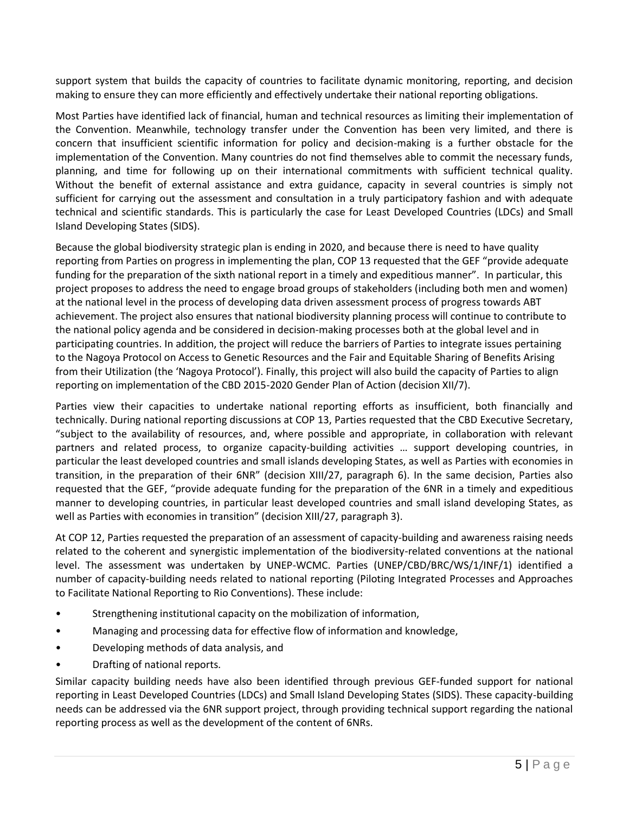support system that builds the capacity of countries to facilitate dynamic monitoring, reporting, and decision making to ensure they can more efficiently and effectively undertake their national reporting obligations.

Most Parties have identified lack of financial, human and technical resources as limiting their implementation of the Convention. Meanwhile, technology transfer under the Convention has been very limited, and there is concern that insufficient scientific information for policy and decision-making is a further obstacle for the implementation of the Convention. Many countries do not find themselves able to commit the necessary funds, planning, and time for following up on their international commitments with sufficient technical quality. Without the benefit of external assistance and extra guidance, capacity in several countries is simply not sufficient for carrying out the assessment and consultation in a truly participatory fashion and with adequate technical and scientific standards. This is particularly the case for Least Developed Countries (LDCs) and Small Island Developing States (SIDS).

Because the global biodiversity strategic plan is ending in 2020, and because there is need to have quality reporting from Parties on progress in implementing the plan, COP 13 requested that the GEF "provide adequate funding for the preparation of the sixth national report in a timely and expeditious manner". In particular, this project proposes to address the need to engage broad groups of stakeholders (including both men and women) at the national level in the process of developing data driven assessment process of progress towards ABT achievement. The project also ensures that national biodiversity planning process will continue to contribute to the national policy agenda and be considered in decision-making processes both at the global level and in participating countries. In addition, the project will reduce the barriers of Parties to integrate issues pertaining to the Nagoya Protocol on Access to Genetic Resources and the Fair and Equitable Sharing of Benefits Arising from their Utilization (the 'Nagoya Protocol'). Finally, this project will also build the capacity of Parties to align reporting on implementation of the CBD 2015-2020 Gender Plan of Action (decision XII/7).

Parties view their capacities to undertake national reporting efforts as insufficient, both financially and technically. During national reporting discussions at COP 13, Parties requested that the CBD Executive Secretary, "subject to the availability of resources, and, where possible and appropriate, in collaboration with relevant partners and related process, to organize capacity-building activities … support developing countries, in particular the least developed countries and small islands developing States, as well as Parties with economies in transition, in the preparation of their 6NR" (decision XIII/27, paragraph 6). In the same decision, Parties also requested that the GEF, "provide adequate funding for the preparation of the 6NR in a timely and expeditious manner to developing countries, in particular least developed countries and small island developing States, as well as Parties with economies in transition" (decision XIII/27, paragraph 3).

At COP 12, Parties requested the preparation of an assessment of capacity-building and awareness raising needs related to the coherent and synergistic implementation of the biodiversity-related conventions at the national level. The assessment was undertaken by UNEP-WCMC. Parties (UNEP/CBD/BRC/WS/1/INF/1) identified a number of capacity-building needs related to national reporting (Piloting Integrated Processes and Approaches to Facilitate National Reporting to Rio Conventions). These include:

- Strengthening institutional capacity on the mobilization of information,
- Managing and processing data for effective flow of information and knowledge,
- Developing methods of data analysis, and
- Drafting of national reports.

Similar capacity building needs have also been identified through previous GEF-funded support for national reporting in Least Developed Countries (LDCs) and Small Island Developing States (SIDS). These capacity-building needs can be addressed via the 6NR support project, through providing technical support regarding the national reporting process as well as the development of the content of 6NRs.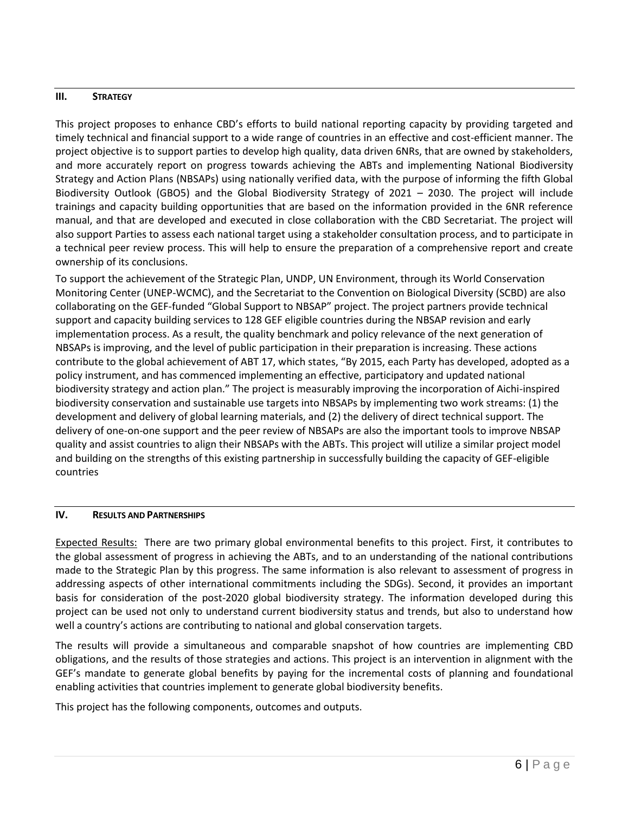## <span id="page-5-0"></span>**III. STRATEGY**

This project proposes to enhance CBD's efforts to build national reporting capacity by providing targeted and timely technical and financial support to a wide range of countries in an effective and cost-efficient manner. The project objective is to support parties to develop high quality, data driven 6NRs, that are owned by stakeholders, and more accurately report on progress towards achieving the ABTs and implementing National Biodiversity Strategy and Action Plans (NBSAPs) using nationally verified data, with the purpose of informing the fifth Global Biodiversity Outlook (GBO5) and the Global Biodiversity Strategy of 2021 – 2030. The project will include trainings and capacity building opportunities that are based on the information provided in the 6NR reference manual, and that are developed and executed in close collaboration with the CBD Secretariat. The project will also support Parties to assess each national target using a stakeholder consultation process, and to participate in a technical peer review process. This will help to ensure the preparation of a comprehensive report and create ownership of its conclusions.

To support the achievement of the Strategic Plan, UNDP, UN Environment, through its World Conservation Monitoring Center (UNEP-WCMC), and the Secretariat to the Convention on Biological Diversity (SCBD) are also collaborating on the GEF-funded "Global Support to NBSAP" project. The project partners provide technical support and capacity building services to 128 GEF eligible countries during the NBSAP revision and early implementation process. As a result, the quality benchmark and policy relevance of the next generation of NBSAPs is improving, and the level of public participation in their preparation is increasing. These actions contribute to the global achievement of ABT 17, which states, "By 2015, each Party has developed, adopted as a policy instrument, and has commenced implementing an effective, participatory and updated national biodiversity strategy and action plan." The project is measurably improving the incorporation of Aichi-inspired biodiversity conservation and sustainable use targets into NBSAPs by implementing two work streams: (1) the development and delivery of global learning materials, and (2) the delivery of direct technical support. The delivery of one-on-one support and the peer review of NBSAPs are also the important tools to improve NBSAP quality and assist countries to align their NBSAPs with the ABTs. This project will utilize a similar project model and building on the strengths of this existing partnership in successfully building the capacity of GEF-eligible countries

## <span id="page-5-1"></span>**IV. RESULTS AND PARTNERSHIPS**

Expected Results: There are two primary global environmental benefits to this project. First, it contributes to the global assessment of progress in achieving the ABTs, and to an understanding of the national contributions made to the Strategic Plan by this progress. The same information is also relevant to assessment of progress in addressing aspects of other international commitments including the SDGs). Second, it provides an important basis for consideration of the post-2020 global biodiversity strategy. The information developed during this project can be used not only to understand current biodiversity status and trends, but also to understand how well a country's actions are contributing to national and global conservation targets.

The results will provide a simultaneous and comparable snapshot of how countries are implementing CBD obligations, and the results of those strategies and actions. This project is an intervention in alignment with the GEF's mandate to generate global benefits by paying for the incremental costs of planning and foundational enabling activities that countries implement to generate global biodiversity benefits.

This project has the following components, outcomes and outputs.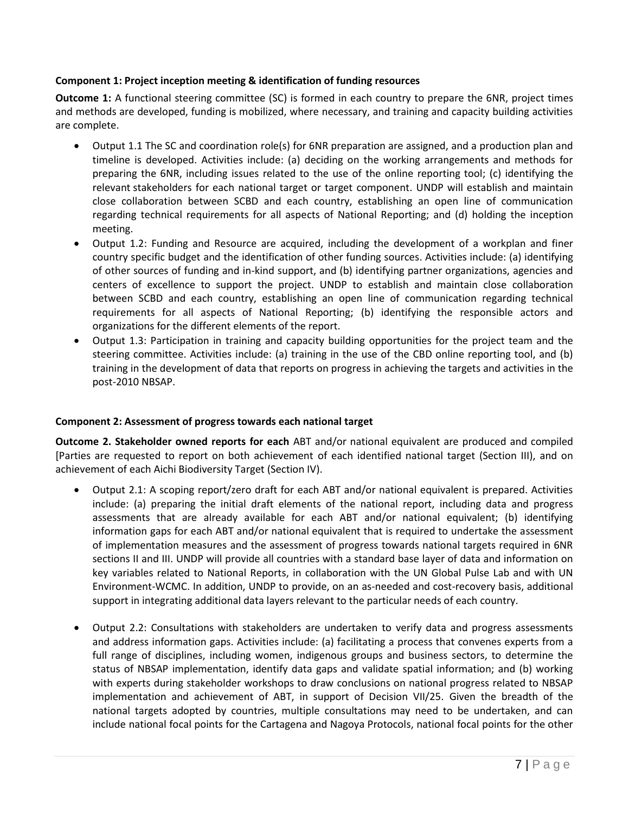## **Component 1: Project inception meeting & identification of funding resources**

**Outcome 1:** A functional steering committee (SC) is formed in each country to prepare the 6NR, project times and methods are developed, funding is mobilized, where necessary, and training and capacity building activities are complete.

- Output 1.1 The SC and coordination role(s) for 6NR preparation are assigned, and a production plan and timeline is developed. Activities include: (a) deciding on the working arrangements and methods for preparing the 6NR, including issues related to the use of the online reporting tool; (c) identifying the relevant stakeholders for each national target or target component. UNDP will establish and maintain close collaboration between SCBD and each country, establishing an open line of communication regarding technical requirements for all aspects of National Reporting; and (d) holding the inception meeting.
- Output 1.2: Funding and Resource are acquired, including the development of a workplan and finer country specific budget and the identification of other funding sources. Activities include: (a) identifying of other sources of funding and in-kind support, and (b) identifying partner organizations, agencies and centers of excellence to support the project. UNDP to establish and maintain close collaboration between SCBD and each country, establishing an open line of communication regarding technical requirements for all aspects of National Reporting; (b) identifying the responsible actors and organizations for the different elements of the report.
- Output 1.3: Participation in training and capacity building opportunities for the project team and the steering committee. Activities include: (a) training in the use of the CBD online reporting tool, and (b) training in the development of data that reports on progress in achieving the targets and activities in the post-2010 NBSAP.

#### **Component 2: Assessment of progress towards each national target**

**Outcome 2. Stakeholder owned reports for each** ABT and/or national equivalent are produced and compiled [Parties are requested to report on both achievement of each identified national target (Section III), and on achievement of each Aichi Biodiversity Target (Section IV).

- Output 2.1: A scoping report/zero draft for each ABT and/or national equivalent is prepared. Activities include: (a) preparing the initial draft elements of the national report, including data and progress assessments that are already available for each ABT and/or national equivalent; (b) identifying information gaps for each ABT and/or national equivalent that is required to undertake the assessment of implementation measures and the assessment of progress towards national targets required in 6NR sections II and III. UNDP will provide all countries with a standard base layer of data and information on key variables related to National Reports, in collaboration with the UN Global Pulse Lab and with UN Environment-WCMC. In addition, UNDP to provide, on an as-needed and cost-recovery basis, additional support in integrating additional data layers relevant to the particular needs of each country.
- Output 2.2: Consultations with stakeholders are undertaken to verify data and progress assessments and address information gaps. Activities include: (a) facilitating a process that convenes experts from a full range of disciplines, including women, indigenous groups and business sectors, to determine the status of NBSAP implementation, identify data gaps and validate spatial information; and (b) working with experts during stakeholder workshops to draw conclusions on national progress related to NBSAP implementation and achievement of ABT, in support of Decision VII/25. Given the breadth of the national targets adopted by countries, multiple consultations may need to be undertaken, and can include national focal points for the Cartagena and Nagoya Protocols, national focal points for the other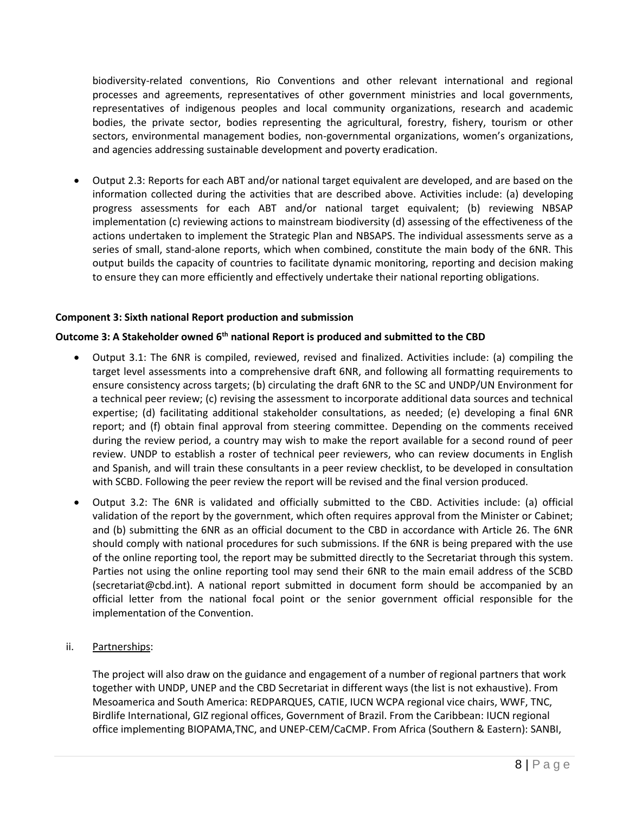biodiversity-related conventions, Rio Conventions and other relevant international and regional processes and agreements, representatives of other government ministries and local governments, representatives of indigenous peoples and local community organizations, research and academic bodies, the private sector, bodies representing the agricultural, forestry, fishery, tourism or other sectors, environmental management bodies, non-governmental organizations, women's organizations, and agencies addressing sustainable development and poverty eradication.

 Output 2.3: Reports for each ABT and/or national target equivalent are developed, and are based on the information collected during the activities that are described above. Activities include: (a) developing progress assessments for each ABT and/or national target equivalent; (b) reviewing NBSAP implementation (c) reviewing actions to mainstream biodiversity (d) assessing of the effectiveness of the actions undertaken to implement the Strategic Plan and NBSAPS. The individual assessments serve as a series of small, stand-alone reports, which when combined, constitute the main body of the 6NR. This output builds the capacity of countries to facilitate dynamic monitoring, reporting and decision making to ensure they can more efficiently and effectively undertake their national reporting obligations.

## **Component 3: Sixth national Report production and submission**

#### **Outcome 3: A Stakeholder owned 6th national Report is produced and submitted to the CBD**

- Output 3.1: The 6NR is compiled, reviewed, revised and finalized. Activities include: (a) compiling the target level assessments into a comprehensive draft 6NR, and following all formatting requirements to ensure consistency across targets; (b) circulating the draft 6NR to the SC and UNDP/UN Environment for a technical peer review; (c) revising the assessment to incorporate additional data sources and technical expertise; (d) facilitating additional stakeholder consultations, as needed; (e) developing a final 6NR report; and (f) obtain final approval from steering committee. Depending on the comments received during the review period, a country may wish to make the report available for a second round of peer review. UNDP to establish a roster of technical peer reviewers, who can review documents in English and Spanish, and will train these consultants in a peer review checklist, to be developed in consultation with SCBD. Following the peer review the report will be revised and the final version produced.
- Output 3.2: The 6NR is validated and officially submitted to the CBD. Activities include: (a) official validation of the report by the government, which often requires approval from the Minister or Cabinet; and (b) submitting the 6NR as an official document to the CBD in accordance with Article 26. The 6NR should comply with national procedures for such submissions. If the 6NR is being prepared with the use of the online reporting tool, the report may be submitted directly to the Secretariat through this system. Parties not using the online reporting tool may send their 6NR to the main email address of the SCBD [\(secretariat@cbd.int\)](mailto:secretariat@cbd.int). A national report submitted in document form should be accompanied by an official letter from the national focal point or the senior government official responsible for the implementation of the Convention.
- ii. Partnerships:

The project will also draw on the guidance and engagement of a number of regional partners that work together with UNDP, UNEP and the CBD Secretariat in different ways (the list is not exhaustive). From Mesoamerica and South America: REDPARQUES, CATIE, IUCN WCPA regional vice chairs, WWF, TNC, Birdlife International, GIZ regional offices, Government of Brazil. From the Caribbean: IUCN regional office implementing BIOPAMA,TNC, and UNEP-CEM/CaCMP. From Africa (Southern & Eastern): SANBI,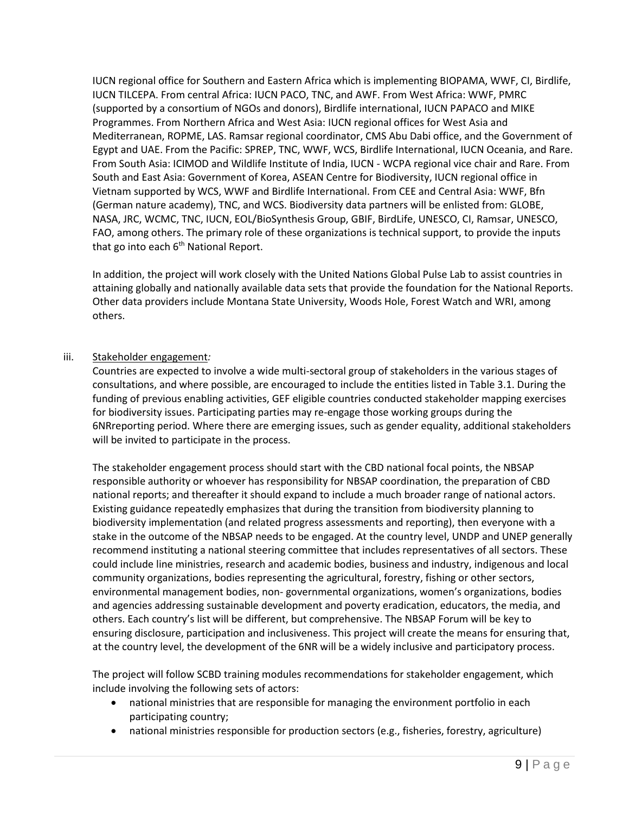IUCN regional office for Southern and Eastern Africa which is implementing BIOPAMA, WWF, CI, Birdlife, IUCN TILCEPA. From central Africa: IUCN PACO, TNC, and AWF. From West Africa: WWF, PMRC (supported by a consortium of NGOs and donors), Birdlife international, IUCN PAPACO and MIKE Programmes. From Northern Africa and West Asia: IUCN regional offices for West Asia and Mediterranean, ROPME, LAS. Ramsar regional coordinator, CMS Abu Dabi office, and the Government of Egypt and UAE. From the Pacific: SPREP, TNC, WWF, WCS, Birdlife International, IUCN Oceania, and Rare. From South Asia: ICIMOD and Wildlife Institute of India, IUCN - WCPA regional vice chair and Rare. From South and East Asia: Government of Korea, ASEAN Centre for Biodiversity, IUCN regional office in Vietnam supported by WCS, WWF and Birdlife International. From CEE and Central Asia: WWF, Bfn (German nature academy), TNC, and WCS. Biodiversity data partners will be enlisted from: GLOBE, NASA, JRC, WCMC, TNC, IUCN, EOL/BioSynthesis Group, GBIF, BirdLife, UNESCO, CI, Ramsar, UNESCO, FAO, among others. The primary role of these organizations is technical support, to provide the inputs that go into each  $6<sup>th</sup>$  National Report.

In addition, the project will work closely with the United Nations Global Pulse Lab to assist countries in attaining globally and nationally available data sets that provide the foundation for the National Reports. Other data providers include Montana State University, Woods Hole, Forest Watch and WRI, among others.

## iii. Stakeholder engagement*:*

Countries are expected to involve a wide multi-sectoral group of stakeholders in the various stages of consultations, and where possible, are encouraged to include the entities listed in Table 3.1. During the funding of previous enabling activities, GEF eligible countries conducted stakeholder mapping exercises for biodiversity issues. Participating parties may re-engage those working groups during the 6NRreporting period. Where there are emerging issues, such as gender equality, additional stakeholders will be invited to participate in the process.

The stakeholder engagement process should start with the CBD national focal points, the NBSAP responsible authority or whoever has responsibility for NBSAP coordination, the preparation of CBD national reports; and thereafter it should expand to include a much broader range of national actors. Existing guidance repeatedly emphasizes that during the transition from biodiversity planning to biodiversity implementation (and related progress assessments and reporting), then everyone with a stake in the outcome of the NBSAP needs to be engaged. At the country level, UNDP and UNEP generally recommend instituting a national steering committee that includes representatives of all sectors. These could include line ministries, research and academic bodies, business and industry, indigenous and local community organizations, bodies representing the agricultural, forestry, fishing or other sectors, environmental management bodies, non- governmental organizations, women's organizations, bodies and agencies addressing sustainable development and poverty eradication, educators, the media, and others. Each country's list will be different, but comprehensive. The NBSAP Forum will be key to ensuring disclosure, participation and inclusiveness. This project will create the means for ensuring that, at the country level, the development of the 6NR will be a widely inclusive and participatory process.

The project will follow SCBD training modules recommendations for stakeholder engagement, which include involving the following sets of actors:

- national ministries that are responsible for managing the environment portfolio in each participating country;
- national ministries responsible for production sectors (e.g., fisheries, forestry, agriculture)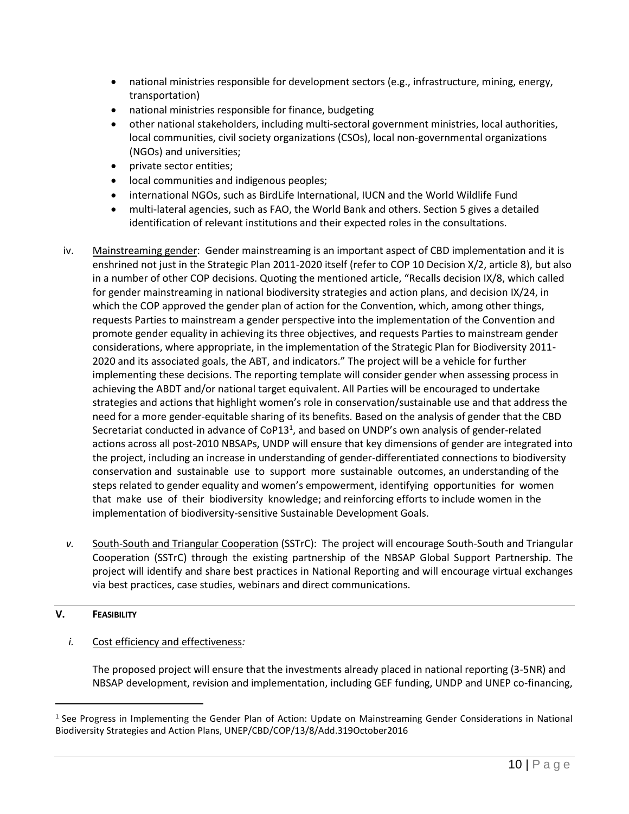- national ministries responsible for development sectors (e.g., infrastructure, mining, energy, transportation)
- national ministries responsible for finance, budgeting
- other national stakeholders, including multi-sectoral government ministries, local authorities, local communities, civil society organizations (CSOs), local non-governmental organizations (NGOs) and universities;
- private sector entities;
- local communities and indigenous peoples;
- international NGOs, such as BirdLife International, IUCN and the World Wildlife Fund
- multi-lateral agencies, such as FAO, the World Bank and others. Section 5 gives a detailed identification of relevant institutions and their expected roles in the consultations.
- iv. Mainstreaming gender: Gender mainstreaming is an important aspect of CBD implementation and it is enshrined not just in the Strategic Plan 2011-2020 itself (refer to COP 10 Decision X/2, article 8), but also in a number of other COP decisions. Quoting the mentioned article, "Recalls decision IX/8, which called for gender mainstreaming in national biodiversity strategies and action plans, and decision IX/24, in which the COP approved the gender plan of action for the Convention, which, among other things, requests Parties to mainstream a gender perspective into the implementation of the Convention and promote gender equality in achieving its three objectives, and requests Parties to mainstream gender considerations, where appropriate, in the implementation of the Strategic Plan for Biodiversity 2011- 2020 and its associated goals, the ABT, and indicators." The project will be a vehicle for further implementing these decisions. The reporting template will consider gender when assessing process in achieving the ABDT and/or national target equivalent. All Parties will be encouraged to undertake strategies and actions that highlight women's role in conservation/sustainable use and that address the need for a more gender-equitable sharing of its benefits. Based on the analysis of gender that the CBD Secretariat conducted in advance of CoP13<sup>1</sup>, and based on UNDP's own analysis of gender-related actions across all post-2010 NBSAPs, UNDP will ensure that key dimensions of gender are integrated into the project, including an increase in understanding of gender-differentiated connections to biodiversity conservation and sustainable use to support more sustainable outcomes, an understanding of the steps related to gender equality and women's empowerment, identifying opportunities for women that make use of their biodiversity knowledge; and reinforcing efforts to include women in the implementation of biodiversity-sensitive Sustainable Development Goals.
- *v.* South-South and Triangular Cooperation (SSTrC): The project will encourage South-South and Triangular Cooperation (SSTrC) through the existing partnership of the NBSAP Global Support Partnership. The project will identify and share best practices in National Reporting and will encourage virtual exchanges via best practices, case studies, webinars and direct communications.

#### <span id="page-9-0"></span>**V. FEASIBILITY**

 $\overline{a}$ 

## *i.* Cost efficiency and effectiveness*:*

The proposed project will ensure that the investments already placed in national reporting (3-5NR) and NBSAP development, revision and implementation, including GEF funding, UNDP and UNEP co-financing,

<sup>1</sup> See Progress in Implementing the Gender Plan of Action: Update on Mainstreaming Gender Considerations in National Biodiversity Strategies and Action Plans, UNEP/CBD/COP/13/8/Add.319October2016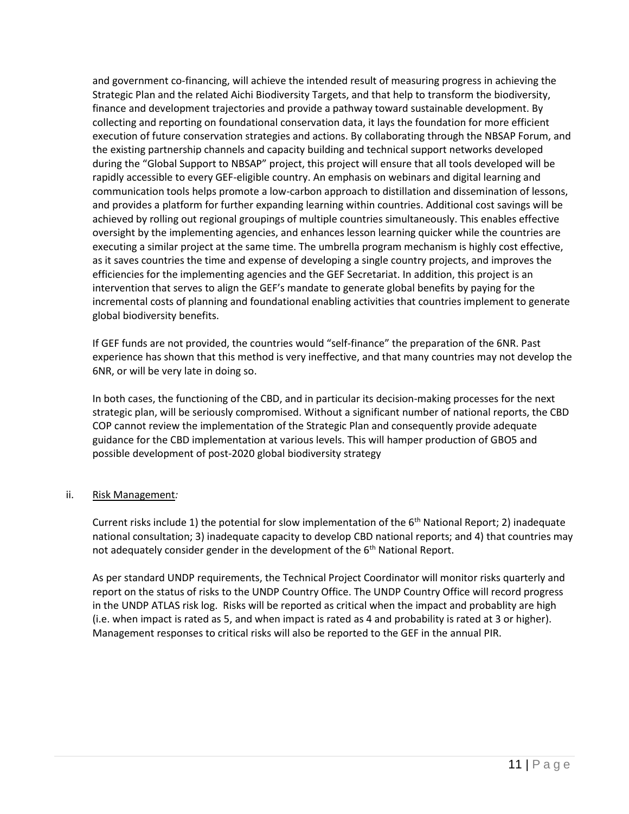and government co-financing, will achieve the intended result of measuring progress in achieving the Strategic Plan and the related Aichi Biodiversity Targets, and that help to transform the biodiversity, finance and development trajectories and provide a pathway toward sustainable development. By collecting and reporting on foundational conservation data, it lays the foundation for more efficient execution of future conservation strategies and actions. By collaborating through the NBSAP Forum, and the existing partnership channels and capacity building and technical support networks developed during the "Global Support to NBSAP" project, this project will ensure that all tools developed will be rapidly accessible to every GEF-eligible country. An emphasis on webinars and digital learning and communication tools helps promote a low-carbon approach to distillation and dissemination of lessons, and provides a platform for further expanding learning within countries. Additional cost savings will be achieved by rolling out regional groupings of multiple countries simultaneously. This enables effective oversight by the implementing agencies, and enhances lesson learning quicker while the countries are executing a similar project at the same time. The umbrella program mechanism is highly cost effective, as it saves countries the time and expense of developing a single country projects, and improves the efficiencies for the implementing agencies and the GEF Secretariat. In addition, this project is an intervention that serves to align the GEF's mandate to generate global benefits by paying for the incremental costs of planning and foundational enabling activities that countries implement to generate global biodiversity benefits.

If GEF funds are not provided, the countries would "self-finance" the preparation of the 6NR. Past experience has shown that this method is very ineffective, and that many countries may not develop the 6NR, or will be very late in doing so.

In both cases, the functioning of the CBD, and in particular its decision-making processes for the next strategic plan, will be seriously compromised. Without a significant number of national reports, the CBD COP cannot review the implementation of the Strategic Plan and consequently provide adequate guidance for the CBD implementation at various levels. This will hamper production of GBO5 and possible development of post-2020 global biodiversity strategy

#### ii. Risk Management*:*

Current risks include 1) the potential for slow implementation of the  $6<sup>th</sup>$  National Report; 2) inadequate national consultation; 3) inadequate capacity to develop CBD national reports; and 4) that countries may not adequately consider gender in the development of the  $6<sup>th</sup>$  National Report.

As per standard UNDP requirements, the Technical Project Coordinator will monitor risks quarterly and report on the status of risks to the UNDP Country Office. The UNDP Country Office will record progress in the UNDP ATLAS risk log. Risks will be reported as critical when the impact and probablity are high (i.e. when impact is rated as 5, and when impact is rated as 4 and probability is rated at 3 or higher). Management responses to critical risks will also be reported to the GEF in the annual PIR.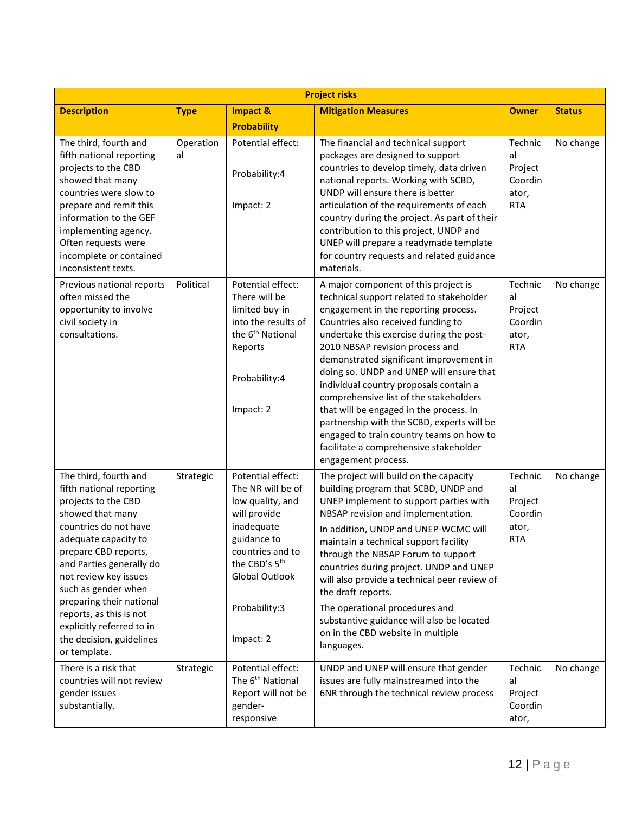| <b>Project risks</b>                                                                                                                                                                                                                                                                                                                                                              |                 |                                                                                                                                                                                                          |                                                                                                                                                                                                                                                                                                                                                                                                                                                                                                                                                                                                                                |                                                            |               |  |  |  |
|-----------------------------------------------------------------------------------------------------------------------------------------------------------------------------------------------------------------------------------------------------------------------------------------------------------------------------------------------------------------------------------|-----------------|----------------------------------------------------------------------------------------------------------------------------------------------------------------------------------------------------------|--------------------------------------------------------------------------------------------------------------------------------------------------------------------------------------------------------------------------------------------------------------------------------------------------------------------------------------------------------------------------------------------------------------------------------------------------------------------------------------------------------------------------------------------------------------------------------------------------------------------------------|------------------------------------------------------------|---------------|--|--|--|
| <b>Description</b>                                                                                                                                                                                                                                                                                                                                                                | <b>Type</b>     | Impact &                                                                                                                                                                                                 | <b>Mitigation Measures</b>                                                                                                                                                                                                                                                                                                                                                                                                                                                                                                                                                                                                     | <b>Owner</b>                                               | <b>Status</b> |  |  |  |
|                                                                                                                                                                                                                                                                                                                                                                                   |                 | <b>Probability</b>                                                                                                                                                                                       |                                                                                                                                                                                                                                                                                                                                                                                                                                                                                                                                                                                                                                |                                                            |               |  |  |  |
| The third, fourth and<br>fifth national reporting<br>projects to the CBD<br>showed that many<br>countries were slow to<br>prepare and remit this<br>information to the GEF<br>implementing agency.<br>Often requests were<br>incomplete or contained<br>inconsistent texts.                                                                                                       | Operation<br>al | Potential effect:<br>Probability:4<br>Impact: 2                                                                                                                                                          | The financial and technical support<br>packages are designed to support<br>countries to develop timely, data driven<br>national reports. Working with SCBD,<br>UNDP will ensure there is better<br>articulation of the requirements of each<br>country during the project. As part of their<br>contribution to this project, UNDP and<br>UNEP will prepare a readymade template<br>for country requests and related guidance<br>materials.                                                                                                                                                                                     | Technic<br>al<br>Project<br>Coordin<br>ator,<br><b>RTA</b> | No change     |  |  |  |
| Previous national reports<br>often missed the<br>opportunity to involve<br>civil society in<br>consultations.                                                                                                                                                                                                                                                                     | Political       | Potential effect:<br>There will be<br>limited buy-in<br>into the results of<br>the 6 <sup>th</sup> National<br>Reports<br>Probability:4<br>Impact: 2                                                     | A major component of this project is<br>technical support related to stakeholder<br>engagement in the reporting process.<br>Countries also received funding to<br>undertake this exercise during the post-<br>2010 NBSAP revision process and<br>demonstrated significant improvement in<br>doing so. UNDP and UNEP will ensure that<br>individual country proposals contain a<br>comprehensive list of the stakeholders<br>that will be engaged in the process. In<br>partnership with the SCBD, experts will be<br>engaged to train country teams on how to<br>facilitate a comprehensive stakeholder<br>engagement process. | Technic<br>al<br>Project<br>Coordin<br>ator,<br><b>RTA</b> | No change     |  |  |  |
| The third, fourth and<br>fifth national reporting<br>projects to the CBD<br>showed that many<br>countries do not have<br>adequate capacity to<br>prepare CBD reports,<br>and Parties generally do<br>not review key issues<br>such as gender when<br>preparing their national<br>reports, as this is not<br>explicitly referred to in<br>the decision, guidelines<br>or template. | Strategic       | Potential effect:<br>The NR will be of<br>low quality, and<br>will provide<br>inadequate<br>guidance to<br>countries and to<br>the CBD's 5 <sup>th</sup><br>Global Outlook<br>Probability:3<br>Impact: 2 | The project will build on the capacity<br>building program that SCBD, UNDP and<br>UNEP implement to support parties with<br>NBSAP revision and implementation.<br>In addition, UNDP and UNEP-WCMC will<br>maintain a technical support facility<br>through the NBSAP Forum to support<br>countries during project. UNDP and UNEP<br>will also provide a technical peer review of<br>the draft reports.<br>The operational procedures and<br>substantive guidance will also be located<br>on in the CBD website in multiple<br>languages.                                                                                       | Technic<br>al<br>Project<br>Coordin<br>ator,<br><b>RTA</b> | No change     |  |  |  |
| There is a risk that<br>countries will not review<br>gender issues<br>substantially.                                                                                                                                                                                                                                                                                              | Strategic       | Potential effect:<br>The 6 <sup>th</sup> National<br>Report will not be<br>gender-<br>responsive                                                                                                         | UNDP and UNEP will ensure that gender<br>issues are fully mainstreamed into the<br>6NR through the technical review process                                                                                                                                                                                                                                                                                                                                                                                                                                                                                                    | Technic<br>al<br>Project<br>Coordin<br>ator,               | No change     |  |  |  |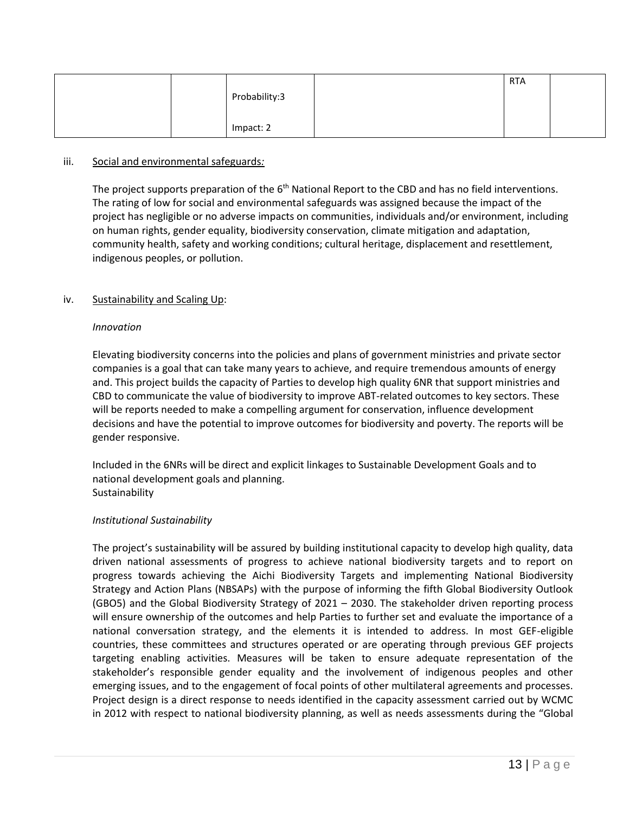|  |               | <b>RTA</b> |  |
|--|---------------|------------|--|
|  | Probability:3 |            |  |
|  |               |            |  |
|  | Impact: 2     |            |  |

#### iii. Social and environmental safeguards*:*

The project supports preparation of the  $6<sup>th</sup>$  National Report to the CBD and has no field interventions. The rating of low for social and environmental safeguards was assigned because the impact of the project has negligible or no adverse impacts on communities, individuals and/or environment, including on human rights, gender equality, biodiversity conservation, climate mitigation and adaptation, community health, safety and working conditions; cultural heritage, displacement and resettlement, indigenous peoples, or pollution.

## iv. Sustainability and Scaling Up:

#### *Innovation*

Elevating biodiversity concerns into the policies and plans of government ministries and private sector companies is a goal that can take many years to achieve, and require tremendous amounts of energy and. This project builds the capacity of Parties to develop high quality 6NR that support ministries and CBD to communicate the value of biodiversity to improve ABT-related outcomes to key sectors. These will be reports needed to make a compelling argument for conservation, influence development decisions and have the potential to improve outcomes for biodiversity and poverty. The reports will be gender responsive.

Included in the 6NRs will be direct and explicit linkages to Sustainable Development Goals and to national development goals and planning. Sustainability

#### *Institutional Sustainability*

The project's sustainability will be assured by building institutional capacity to develop high quality, data driven national assessments of progress to achieve national biodiversity targets and to report on progress towards achieving the Aichi Biodiversity Targets and implementing National Biodiversity Strategy and Action Plans (NBSAPs) with the purpose of informing the fifth Global Biodiversity Outlook (GBO5) and the Global Biodiversity Strategy of 2021 – 2030. The stakeholder driven reporting process will ensure ownership of the outcomes and help Parties to further set and evaluate the importance of a national conversation strategy, and the elements it is intended to address. In most GEF-eligible countries, these committees and structures operated or are operating through previous GEF projects targeting enabling activities. Measures will be taken to ensure adequate representation of the stakeholder's responsible gender equality and the involvement of indigenous peoples and other emerging issues, and to the engagement of focal points of other multilateral agreements and processes. Project design is a direct response to needs identified in the capacity assessment carried out by WCMC in 2012 with respect to national biodiversity planning, as well as needs assessments during the "Global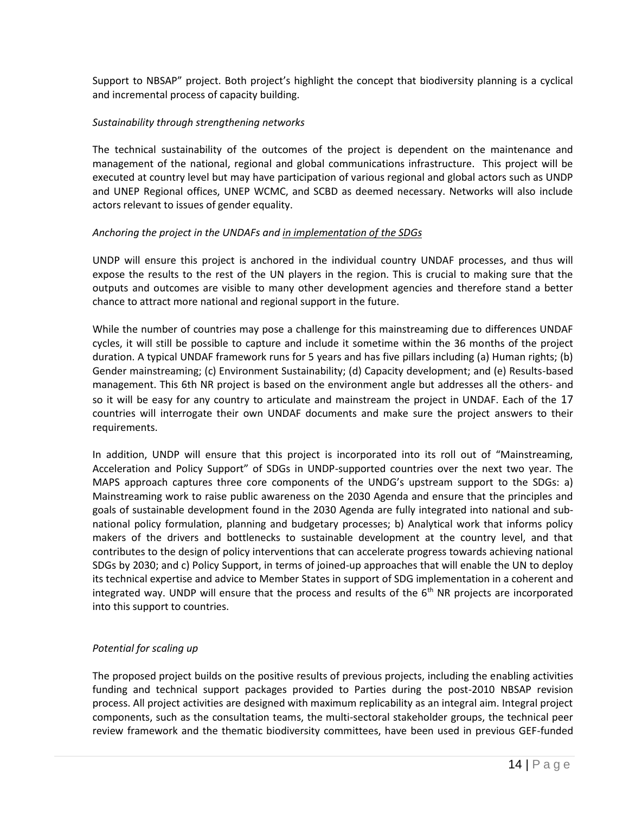Support to NBSAP" project. Both project's highlight the concept that biodiversity planning is a cyclical and incremental process of capacity building.

#### *Sustainability through strengthening networks*

The technical sustainability of the outcomes of the project is dependent on the maintenance and management of the national, regional and global communications infrastructure. This project will be executed at country level but may have participation of various regional and global actors such as UNDP and UNEP Regional offices, UNEP WCMC, and SCBD as deemed necessary. Networks will also include actors relevant to issues of gender equality.

## *Anchoring the project in the UNDAFs and in implementation of the SDGs*

UNDP will ensure this project is anchored in the individual country UNDAF processes, and thus will expose the results to the rest of the UN players in the region. This is crucial to making sure that the outputs and outcomes are visible to many other development agencies and therefore stand a better chance to attract more national and regional support in the future.

While the number of countries may pose a challenge for this mainstreaming due to differences UNDAF cycles, it will still be possible to capture and include it sometime within the 36 months of the project duration. A typical UNDAF framework runs for 5 years and has five pillars including (a) Human rights; (b) Gender mainstreaming; (c) Environment Sustainability; (d) Capacity development; and (e) Results-based management. This 6th NR project is based on the environment angle but addresses all the others- and so it will be easy for any country to articulate and mainstream the project in UNDAF. Each of the 17 countries will interrogate their own UNDAF documents and make sure the project answers to their requirements.

In addition, UNDP will ensure that this project is incorporated into its roll out of "Mainstreaming, Acceleration and Policy Support" of SDGs in UNDP-supported countries over the next two year. The MAPS approach captures three core components of the UNDG's upstream support to the SDGs: a) Mainstreaming work to raise public awareness on the 2030 Agenda and ensure that the principles and goals of sustainable development found in the 2030 Agenda are fully integrated into national and subnational policy formulation, planning and budgetary processes; b) Analytical work that informs policy makers of the drivers and bottlenecks to sustainable development at the country level, and that contributes to the design of policy interventions that can accelerate progress towards achieving national SDGs by 2030; and c) Policy Support, in terms of joined-up approaches that will enable the UN to deploy its technical expertise and advice to Member States in support of SDG implementation in a coherent and integrated way. UNDP will ensure that the process and results of the  $6<sup>th</sup>$  NR projects are incorporated into this support to countries.

## *Potential for scaling up*

The proposed project builds on the positive results of previous projects, including the enabling activities funding and technical support packages provided to Parties during the post-2010 NBSAP revision process. All project activities are designed with maximum replicability as an integral aim. Integral project components, such as the consultation teams, the multi-sectoral stakeholder groups, the technical peer review framework and the thematic biodiversity committees, have been used in previous GEF-funded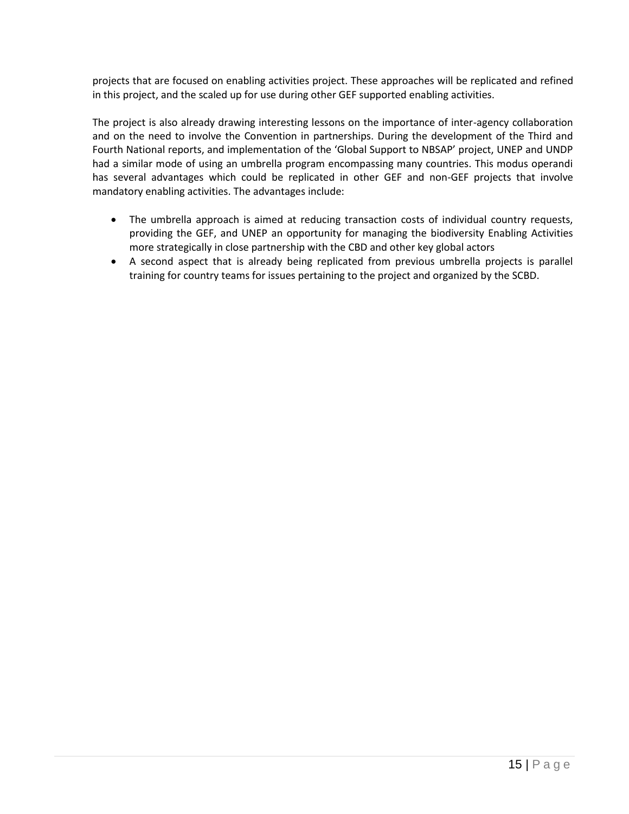projects that are focused on enabling activities project. These approaches will be replicated and refined in this project, and the scaled up for use during other GEF supported enabling activities.

The project is also already drawing interesting lessons on the importance of inter-agency collaboration and on the need to involve the Convention in partnerships. During the development of the Third and Fourth National reports, and implementation of the 'Global Support to NBSAP' project, UNEP and UNDP had a similar mode of using an umbrella program encompassing many countries. This modus operandi has several advantages which could be replicated in other GEF and non-GEF projects that involve mandatory enabling activities. The advantages include:

- The umbrella approach is aimed at reducing transaction costs of individual country requests, providing the GEF, and UNEP an opportunity for managing the biodiversity Enabling Activities more strategically in close partnership with the CBD and other key global actors
- A second aspect that is already being replicated from previous umbrella projects is parallel training for country teams for issues pertaining to the project and organized by the SCBD.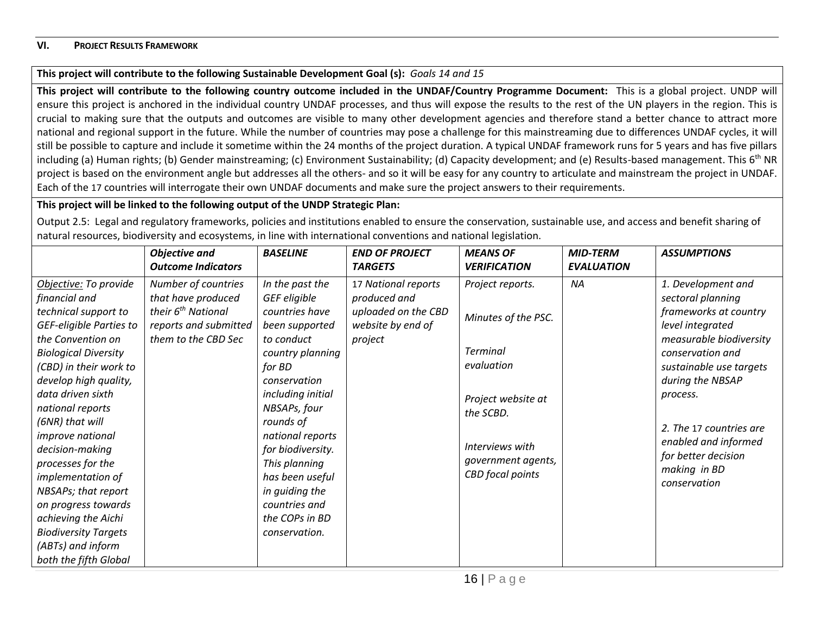#### **VI. PROJECT RESULTS FRAMEWORK**

## **This project will contribute to the following Sustainable Development Goal (s):** *Goals 14 and 15*

**This project will contribute to the following country outcome included in the UNDAF/Country Programme Document:** This is a global project. UNDP will ensure this project is anchored in the individual country UNDAF processes, and thus will expose the results to the rest of the UN players in the region. This is crucial to making sure that the outputs and outcomes are visible to many other development agencies and therefore stand a better chance to attract more national and regional support in the future. While the number of countries may pose a challenge for this mainstreaming due to differences UNDAF cycles, it will still be possible to capture and include it sometime within the 24 months of the project duration. A typical UNDAF framework runs for 5 years and has five pillars including (a) Human rights; (b) Gender mainstreaming; (c) Environment Sustainability; (d) Capacity development; and (e) Results-based management. This  $6<sup>th</sup> NR$ project is based on the environment angle but addresses all the others- and so it will be easy for any country to articulate and mainstream the project in UNDAF. Each of the 17 countries will interrogate their own UNDAF documents and make sure the project answers to their requirements.

## **This project will be linked to the following output of the UNDP Strategic Plan:**

<span id="page-15-0"></span>Output 2.5: Legal and regulatory frameworks, policies and institutions enabled to ensure the conservation, sustainable use, and access and benefit sharing of natural resources, biodiversity and ecosystems, in line with international conventions and national legislation.

|                                                                                                                                                                                                                                                                                                                                                                                                                                                                                                        | <b>Objective and</b><br><b>Outcome Indicators</b>                                                                           | <b>BASELINE</b>                                                                                                                                                                                                                                                                                                                      | <b>END OF PROJECT</b><br><b>TARGETS</b>                                                    | <b>MEANS OF</b><br><b>VERIFICATION</b>                                                                                                                                          | <b>MID-TERM</b><br><b>EVALUATION</b> | <b>ASSUMPTIONS</b>                                                                                                                                                                                                                                                                                       |
|--------------------------------------------------------------------------------------------------------------------------------------------------------------------------------------------------------------------------------------------------------------------------------------------------------------------------------------------------------------------------------------------------------------------------------------------------------------------------------------------------------|-----------------------------------------------------------------------------------------------------------------------------|--------------------------------------------------------------------------------------------------------------------------------------------------------------------------------------------------------------------------------------------------------------------------------------------------------------------------------------|--------------------------------------------------------------------------------------------|---------------------------------------------------------------------------------------------------------------------------------------------------------------------------------|--------------------------------------|----------------------------------------------------------------------------------------------------------------------------------------------------------------------------------------------------------------------------------------------------------------------------------------------------------|
| Objective: To provide<br>financial and<br>technical support to<br>GEF-eligible Parties to<br>the Convention on<br><b>Biological Diversity</b><br>(CBD) in their work to<br>develop high quality,<br>data driven sixth<br>national reports<br>(6NR) that will<br><i>improve national</i><br>decision-making<br>processes for the<br>implementation of<br>NBSAPs; that report<br>on progress towards<br>achieving the Aichi<br><b>Biodiversity Targets</b><br>(ABTs) and inform<br>both the fifth Global | Number of countries<br>that have produced<br>their 6 <sup>th</sup> National<br>reports and submitted<br>them to the CBD Sec | In the past the<br>GEF eligible<br>countries have<br>been supported<br>to conduct<br>country planning<br>for BD<br>conservation<br>including initial<br>NBSAPs, four<br>rounds of<br>national reports<br>for biodiversity.<br>This planning<br>has been useful<br>in guiding the<br>countries and<br>the COPs in BD<br>conservation. | 17 National reports<br>produced and<br>uploaded on the CBD<br>website by end of<br>project | Project reports.<br>Minutes of the PSC.<br><b>Terminal</b><br>evaluation<br>Project website at<br>the SCBD.<br>Interviews with<br>government agents,<br><b>CBD</b> focal points | NA                                   | 1. Development and<br>sectoral planning<br>frameworks at country<br>level integrated<br>measurable biodiversity<br>conservation and<br>sustainable use targets<br>during the NBSAP<br>process.<br>2. The 17 countries are<br>enabled and informed<br>for better decision<br>making in BD<br>conservation |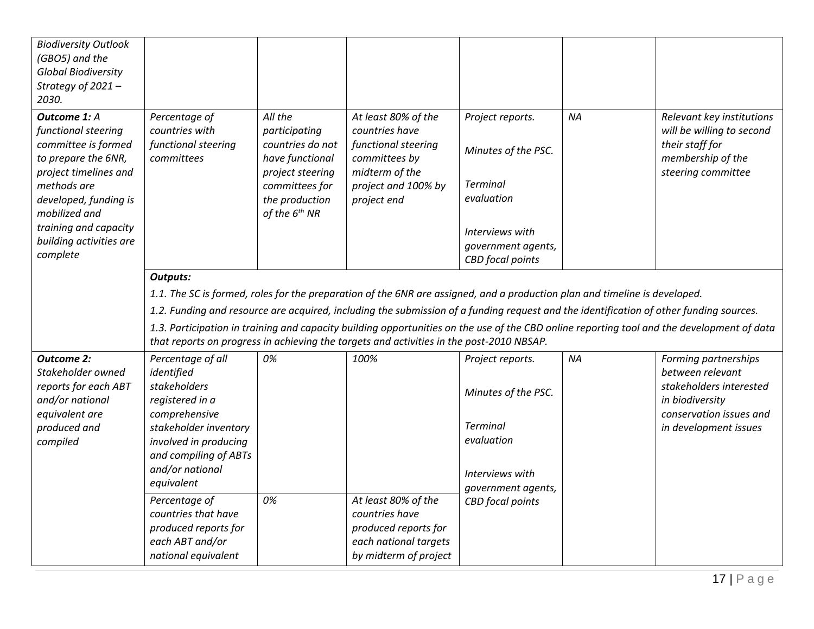| <b>Biodiversity Outlook</b><br>(GBO5) and the<br><b>Global Biodiversity</b><br>Strategy of 2021-<br>2030.                                                                                                                                  |                                                                                                                                                                                                 |                                                                                                                                               |                                                                                                                                                                                                                                                                                                                                                                  |                                                                                                                                              |           |                                                                                                                                            |
|--------------------------------------------------------------------------------------------------------------------------------------------------------------------------------------------------------------------------------------------|-------------------------------------------------------------------------------------------------------------------------------------------------------------------------------------------------|-----------------------------------------------------------------------------------------------------------------------------------------------|------------------------------------------------------------------------------------------------------------------------------------------------------------------------------------------------------------------------------------------------------------------------------------------------------------------------------------------------------------------|----------------------------------------------------------------------------------------------------------------------------------------------|-----------|--------------------------------------------------------------------------------------------------------------------------------------------|
| <b>Outcome 1: A</b><br>functional steering<br>committee is formed<br>to prepare the 6NR,<br>project timelines and<br>methods are<br>developed, funding is<br>mobilized and<br>training and capacity<br>building activities are<br>complete | Percentage of<br>countries with<br>functional steering<br>committees                                                                                                                            | All the<br>participating<br>countries do not<br>have functional<br>project steering<br>committees for<br>the production<br>of the $6^{th}$ NR | At least 80% of the<br>countries have<br>functional steering<br>committees by<br>midterm of the<br>project and 100% by<br>project end                                                                                                                                                                                                                            | Project reports.<br>Minutes of the PSC.<br><b>Terminal</b><br>evaluation<br>Interviews with<br>government agents,<br><b>CBD</b> focal points | <b>NA</b> | Relevant key institutions<br>will be willing to second<br>their staff for<br>membership of the<br>steering committee                       |
|                                                                                                                                                                                                                                            | <b>Outputs:</b>                                                                                                                                                                                 |                                                                                                                                               | 1.1. The SC is formed, roles for the preparation of the 6NR are assigned, and a production plan and timeline is developed.<br>1.2. Funding and resource are acquired, including the submission of a funding request and the identification of other funding sources.<br>that reports on progress in achieving the targets and activities in the post-2010 NBSAP. |                                                                                                                                              |           | 1.3. Participation in training and capacity building opportunities on the use of the CBD online reporting tool and the development of data |
| <b>Outcome 2:</b><br>Stakeholder owned<br>reports for each ABT<br>and/or national<br>equivalent are<br>produced and<br>compiled                                                                                                            | Percentage of all<br>identified<br>stakeholders<br>registered in a<br>comprehensive<br>stakeholder inventory<br>involved in producing<br>and compiling of ABTs<br>and/or national<br>equivalent | 0%                                                                                                                                            | 100%                                                                                                                                                                                                                                                                                                                                                             | Project reports.<br>Minutes of the PSC.<br><b>Terminal</b><br>evaluation<br>Interviews with<br>government agents,                            | <b>NA</b> | Forming partnerships<br>between relevant<br>stakeholders interested<br>in biodiversity<br>conservation issues and<br>in development issues |
|                                                                                                                                                                                                                                            | Percentage of<br>countries that have<br>produced reports for<br>each ABT and/or<br>national equivalent                                                                                          | 0%                                                                                                                                            | At least 80% of the<br>countries have<br>produced reports for<br>each national targets<br>by midterm of project                                                                                                                                                                                                                                                  | <b>CBD</b> focal points                                                                                                                      |           |                                                                                                                                            |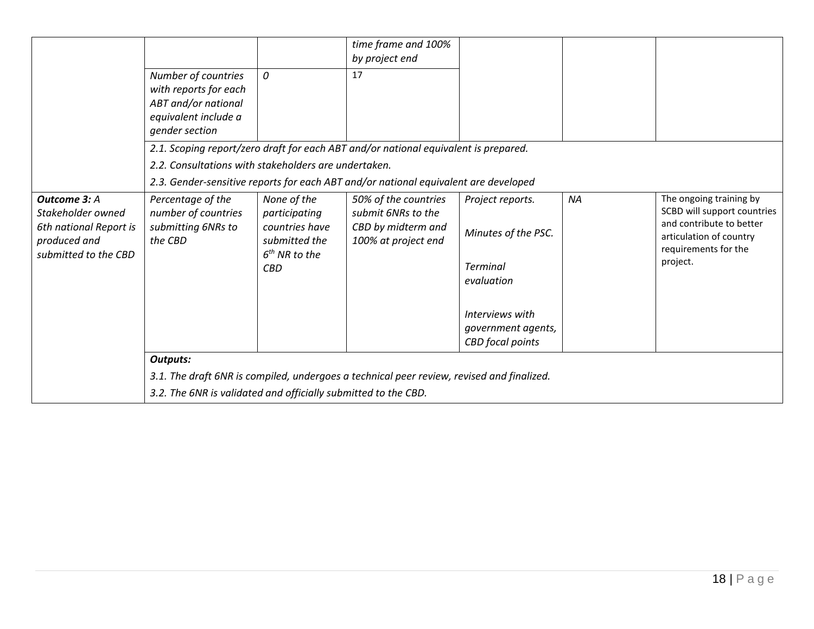|                                                                                                     | Number of countries<br>with reports for each<br>ABT and/or national<br>equivalent include a<br>gender section                                                                  | 0                                                                                                | time frame and 100%<br>by project end<br>17                                                                                                                                |                                                                                                                                              |    |                                                                                                                                                   |  |  |  |  |
|-----------------------------------------------------------------------------------------------------|--------------------------------------------------------------------------------------------------------------------------------------------------------------------------------|--------------------------------------------------------------------------------------------------|----------------------------------------------------------------------------------------------------------------------------------------------------------------------------|----------------------------------------------------------------------------------------------------------------------------------------------|----|---------------------------------------------------------------------------------------------------------------------------------------------------|--|--|--|--|
|                                                                                                     | 2.2. Consultations with stakeholders are undertaken.                                                                                                                           |                                                                                                  | 2.1. Scoping report/zero draft for each ABT and/or national equivalent is prepared.<br>2.3. Gender-sensitive reports for each ABT and/or national equivalent are developed |                                                                                                                                              |    |                                                                                                                                                   |  |  |  |  |
| Outcome 3: A<br>Stakeholder owned<br>6th national Report is<br>produced and<br>submitted to the CBD | Percentage of the<br>number of countries<br>submitting 6NRs to<br>the CBD                                                                                                      | None of the<br>participating<br>countries have<br>submitted the<br>$6th$ NR to the<br><b>CBD</b> | 50% of the countries<br>submit 6NRs to the<br>CBD by midterm and<br>100% at project end                                                                                    | Project reports.<br>Minutes of the PSC.<br><b>Terminal</b><br>evaluation<br>Interviews with<br>government agents,<br><b>CBD</b> focal points | ΝA | The ongoing training by<br>SCBD will support countries<br>and contribute to better<br>articulation of country<br>requirements for the<br>project. |  |  |  |  |
|                                                                                                     | <b>Outputs:</b><br>3.1. The draft 6NR is compiled, undergoes a technical peer review, revised and finalized.<br>3.2. The 6NR is validated and officially submitted to the CBD. |                                                                                                  |                                                                                                                                                                            |                                                                                                                                              |    |                                                                                                                                                   |  |  |  |  |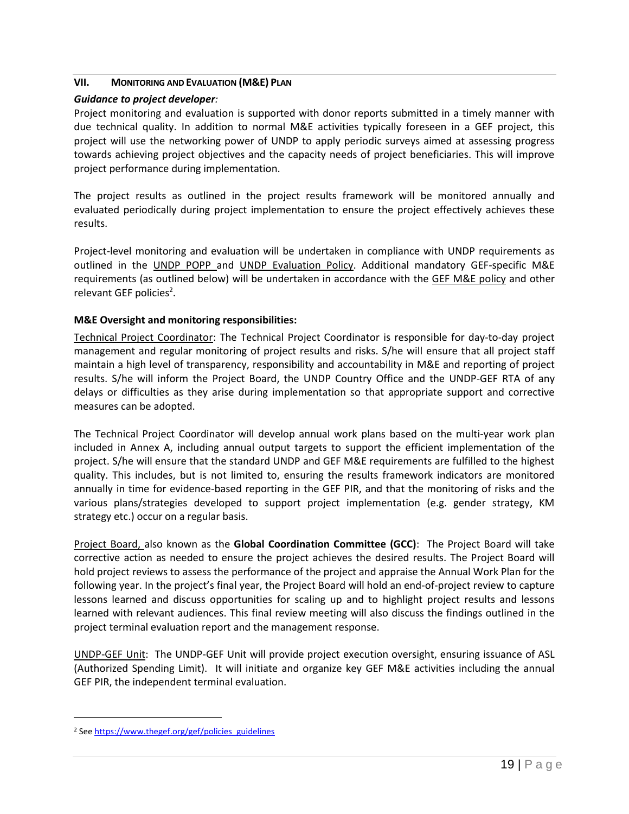#### <span id="page-18-0"></span>**VII. MONITORING AND EVALUATION (M&E) PLAN**

## *Guidance to project developer:*

Project monitoring and evaluation is supported with donor reports submitted in a timely manner with due technical quality. In addition to normal M&E activities typically foreseen in a GEF project, this project will use the networking power of UNDP to apply periodic surveys aimed at assessing progress towards achieving project objectives and the capacity needs of project beneficiaries. This will improve project performance during implementation.

The project results as outlined in the project results framework will be monitored annually and evaluated periodically during project implementation to ensure the project effectively achieves these results.

Project-level monitoring and evaluation will be undertaken in compliance with UNDP requirements as outlined in the [UNDP POPP](http://www.undp.org/content/undp/en/home/operations/accountability/programme_and_operationspoliciesandprocedures.html) and [UNDP Evaluation Policy.](http://www.undp.org/content/undp/en/home/operations/accountability/evaluation/evaluation_policyofundp.html) Additional mandatory GEF-specific M&E requirements (as outlined below) will be undertaken in accordance with the [GEF M&E policy](http://www.thegef.org/gef/Evaluation%20Policy%202010) and other relevant GEF policies<sup>2</sup>.

## **M&E Oversight and monitoring responsibilities:**

Technical Project Coordinator: The Technical Project Coordinator is responsible for day-to-day project management and regular monitoring of project results and risks. S/he will ensure that all project staff maintain a high level of transparency, responsibility and accountability in M&E and reporting of project results. S/he will inform the Project Board, the UNDP Country Office and the UNDP-GEF RTA of any delays or difficulties as they arise during implementation so that appropriate support and corrective measures can be adopted.

The Technical Project Coordinator will develop annual work plans based on the multi-year work plan included in Annex A, including annual output targets to support the efficient implementation of the project. S/he will ensure that the standard UNDP and GEF M&E requirements are fulfilled to the highest quality. This includes, but is not limited to, ensuring the results framework indicators are monitored annually in time for evidence-based reporting in the GEF PIR, and that the monitoring of risks and the various plans/strategies developed to support project implementation (e.g. gender strategy, KM strategy etc.) occur on a regular basis.

Project Board, also known as the **Global Coordination Committee (GCC)**: The Project Board will take corrective action as needed to ensure the project achieves the desired results. The Project Board will hold project reviews to assess the performance of the project and appraise the Annual Work Plan for the following year. In the project's final year, the Project Board will hold an end-of-project review to capture lessons learned and discuss opportunities for scaling up and to highlight project results and lessons learned with relevant audiences. This final review meeting will also discuss the findings outlined in the project terminal evaluation report and the management response.

UNDP-GEF Unit: The UNDP-GEF Unit will provide project execution oversight, ensuring issuance of ASL (Authorized Spending Limit). It will initiate and organize key GEF M&E activities including the annual GEF PIR, the independent terminal evaluation.

 $\overline{a}$ 

<sup>&</sup>lt;sup>2</sup> Se[e https://www.thegef.org/gef/policies\\_guidelines](https://www.thegef.org/gef/policies_guidelines)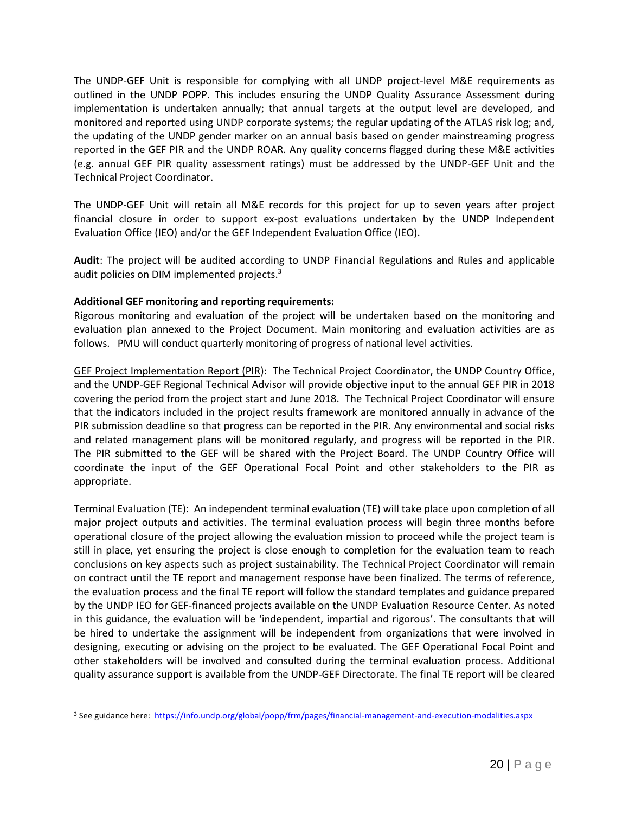The UNDP-GEF Unit is responsible for complying with all UNDP project-level M&E requirements as outlined in the [UNDP POPP.](http://www.undp.org/content/undp/en/home/operations/accountability/programme_and_operationspoliciesandprocedures.html) This includes ensuring the UNDP Quality Assurance Assessment during implementation is undertaken annually; that annual targets at the output level are developed, and monitored and reported using UNDP corporate systems; the regular updating of the ATLAS risk log; and, the updating of the UNDP gender marker on an annual basis based on gender mainstreaming progress reported in the GEF PIR and the UNDP ROAR. Any quality concerns flagged during these M&E activities (e.g. annual GEF PIR quality assessment ratings) must be addressed by the UNDP-GEF Unit and the Technical Project Coordinator.

The UNDP-GEF Unit will retain all M&E records for this project for up to seven years after project financial closure in order to support ex-post evaluations undertaken by the UNDP Independent Evaluation Office (IEO) and/or the GEF Independent Evaluation Office (IEO).

**Audit**: The project will be audited according to UNDP Financial Regulations and Rules and applicable audit policies on DIM implemented projects.<sup>3</sup>

## **Additional GEF monitoring and reporting requirements:**

 $\overline{a}$ 

Rigorous monitoring and evaluation of the project will be undertaken based on the monitoring and evaluation plan annexed to the Project Document. Main monitoring and evaluation activities are as follows. PMU will conduct quarterly monitoring of progress of national level activities.

GEF Project Implementation Report (PIR): The Technical Project Coordinator, the UNDP Country Office, and the UNDP-GEF Regional Technical Advisor will provide objective input to the annual GEF PIR in 2018 covering the period from the project start and June 2018. The Technical Project Coordinator will ensure that the indicators included in the project results framework are monitored annually in advance of the PIR submission deadline so that progress can be reported in the PIR. Any environmental and social risks and related management plans will be monitored regularly, and progress will be reported in the PIR. The PIR submitted to the GEF will be shared with the Project Board. The UNDP Country Office will coordinate the input of the GEF Operational Focal Point and other stakeholders to the PIR as appropriate.

Terminal Evaluation (TE): An independent terminal evaluation (TE) will take place upon completion of all major project outputs and activities. The terminal evaluation process will begin three months before operational closure of the project allowing the evaluation mission to proceed while the project team is still in place, yet ensuring the project is close enough to completion for the evaluation team to reach conclusions on key aspects such as project sustainability. The Technical Project Coordinator will remain on contract until the TE report and management response have been finalized. The terms of reference, the evaluation process and the final TE report will follow the standard templates and guidance prepared by the UNDP IEO for GEF-financed projects available on the [UNDP Evaluation Resource Center.](http://web.undp.org/evaluation/guidance.shtml#gef) As noted in this guidance, the evaluation will be 'independent, impartial and rigorous'. The consultants that will be hired to undertake the assignment will be independent from organizations that were involved in designing, executing or advising on the project to be evaluated. The GEF Operational Focal Point and other stakeholders will be involved and consulted during the terminal evaluation process. Additional quality assurance support is available from the UNDP-GEF Directorate. The final TE report will be cleared

<sup>3</sup> See guidance here:<https://info.undp.org/global/popp/frm/pages/financial-management-and-execution-modalities.aspx>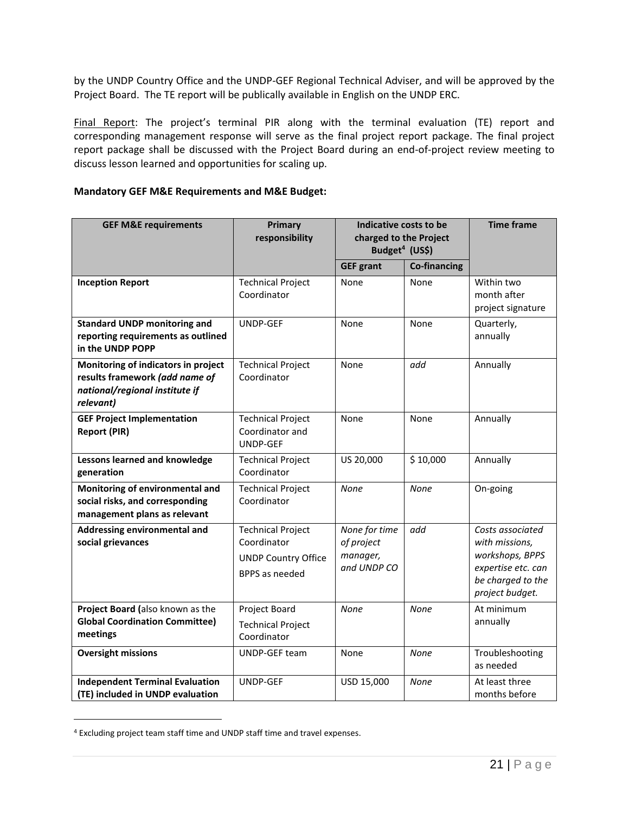by the UNDP Country Office and the UNDP-GEF Regional Technical Adviser, and will be approved by the Project Board. The TE report will be publically available in English on the UNDP ERC.

Final Report: The project's terminal PIR along with the terminal evaluation (TE) report and corresponding management response will serve as the final project report package. The final project report package shall be discussed with the Project Board during an end-of-project review meeting to discuss lesson learned and opportunities for scaling up.

#### **Mandatory GEF M&E Requirements and M&E Budget:**

| <b>GEF M&amp;E requirements</b>                                                                                      | Primary<br>responsibility                                                                      | Indicative costs to be<br>charged to the Project<br>Budget <sup>4</sup> (US\$) | <b>Time frame</b>   |                                                                                                                     |
|----------------------------------------------------------------------------------------------------------------------|------------------------------------------------------------------------------------------------|--------------------------------------------------------------------------------|---------------------|---------------------------------------------------------------------------------------------------------------------|
|                                                                                                                      |                                                                                                | <b>GEF grant</b>                                                               | <b>Co-financing</b> |                                                                                                                     |
| <b>Inception Report</b>                                                                                              | <b>Technical Project</b><br>Coordinator                                                        | None                                                                           | None                | Within two<br>month after<br>project signature                                                                      |
| <b>Standard UNDP monitoring and</b><br>reporting requirements as outlined<br>in the UNDP POPP                        | UNDP-GEF                                                                                       | None                                                                           | None                | Quarterly,<br>annually                                                                                              |
| Monitoring of indicators in project<br>results framework (add name of<br>national/regional institute if<br>relevant) | <b>Technical Project</b><br>Coordinator                                                        | None                                                                           | add                 | Annually                                                                                                            |
| <b>GEF Project Implementation</b><br><b>Report (PIR)</b>                                                             | <b>Technical Project</b><br>Coordinator and<br>UNDP-GEF                                        | None                                                                           | None                | Annually                                                                                                            |
| Lessons learned and knowledge<br>generation                                                                          | <b>Technical Project</b><br>Coordinator                                                        | US 20,000                                                                      | \$10,000            | Annually                                                                                                            |
| Monitoring of environmental and<br>social risks, and corresponding<br>management plans as relevant                   | <b>Technical Project</b><br>Coordinator                                                        | None                                                                           | None                | On-going                                                                                                            |
| Addressing environmental and<br>social grievances                                                                    | <b>Technical Project</b><br>Coordinator<br><b>UNDP Country Office</b><br><b>BPPS</b> as needed | None for time<br>of project<br>manager,<br>and UNDP CO                         | add                 | Costs associated<br>with missions,<br>workshops, BPPS<br>expertise etc. can<br>be charged to the<br>project budget. |
| Project Board (also known as the<br><b>Global Coordination Committee)</b><br>meetings                                | Project Board<br><b>Technical Project</b><br>Coordinator                                       | None                                                                           | None                | At minimum<br>annually                                                                                              |
| <b>Oversight missions</b>                                                                                            | UNDP-GEF team                                                                                  | None                                                                           | None                | Troubleshooting<br>as needed                                                                                        |
| <b>Independent Terminal Evaluation</b><br>(TE) included in UNDP evaluation                                           | UNDP-GEF                                                                                       | USD 15,000                                                                     | None                | At least three<br>months before                                                                                     |

<sup>4</sup> Excluding project team staff time and UNDP staff time and travel expenses.

 $\overline{a}$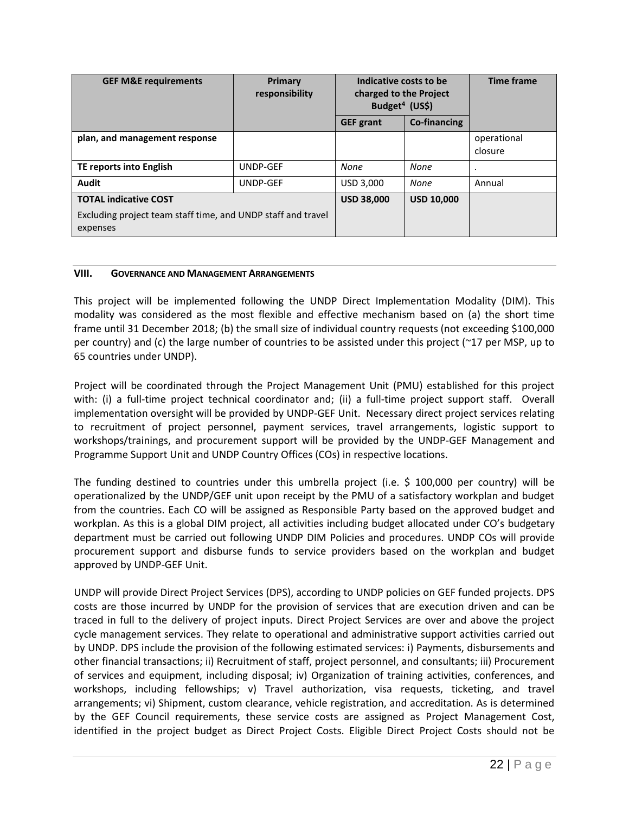| <b>GEF M&amp;E requirements</b>                                                                          | Primary<br>responsibility | Indicative costs to be<br>charged to the Project<br>Budget <sup>4</sup> (US\$) |                     | <b>Time frame</b>      |
|----------------------------------------------------------------------------------------------------------|---------------------------|--------------------------------------------------------------------------------|---------------------|------------------------|
|                                                                                                          |                           | <b>GEF</b> grant                                                               | <b>Co-financing</b> |                        |
| plan, and management response                                                                            |                           |                                                                                |                     | operational<br>closure |
| TE reports into English                                                                                  | UNDP-GEF                  | None                                                                           | None                | ٠                      |
| Audit                                                                                                    | UNDP-GEF                  | USD 3,000                                                                      | None                | Annual                 |
| <b>TOTAL indicative COST</b><br>Excluding project team staff time, and UNDP staff and travel<br>expenses |                           | <b>USD 38,000</b>                                                              | <b>USD 10,000</b>   |                        |

#### <span id="page-21-0"></span>**VIII. GOVERNANCE AND MANAGEMENT ARRANGEMENTS**

This project will be implemented following the UNDP Direct Implementation Modality (DIM). This modality was considered as the most flexible and effective mechanism based on (a) the short time frame until 31 December 2018; (b) the small size of individual country requests (not exceeding \$100,000 per country) and (c) the large number of countries to be assisted under this project (~17 per MSP, up to 65 countries under UNDP).

Project will be coordinated through the Project Management Unit (PMU) established for this project with: (i) a full-time project technical coordinator and; (ii) a full-time project support staff. Overall implementation oversight will be provided by UNDP-GEF Unit. Necessary direct project services relating to recruitment of project personnel, payment services, travel arrangements, logistic support to workshops/trainings, and procurement support will be provided by the UNDP-GEF Management and Programme Support Unit and UNDP Country Offices (COs) in respective locations.

The funding destined to countries under this umbrella project (i.e. \$ 100,000 per country) will be operationalized by the UNDP/GEF unit upon receipt by the PMU of a satisfactory workplan and budget from the countries. Each CO will be assigned as Responsible Party based on the approved budget and workplan. As this is a global DIM project, all activities including budget allocated under CO's budgetary department must be carried out following UNDP DIM Policies and procedures. UNDP COs will provide procurement support and disburse funds to service providers based on the workplan and budget approved by UNDP-GEF Unit.

UNDP will provide Direct Project Services (DPS), according to UNDP policies on GEF funded projects. DPS costs are those incurred by UNDP for the provision of services that are execution driven and can be traced in full to the delivery of project inputs. Direct Project Services are over and above the project cycle management services. They relate to operational and administrative support activities carried out by UNDP. DPS include the provision of the following estimated services: i) Payments, disbursements and other financial transactions; ii) Recruitment of staff, project personnel, and consultants; iii) Procurement of services and equipment, including disposal; iv) Organization of training activities, conferences, and workshops, including fellowships; v) Travel authorization, visa requests, ticketing, and travel arrangements; vi) Shipment, custom clearance, vehicle registration, and accreditation. As is determined by the GEF Council requirements, these service costs are assigned as Project Management Cost, identified in the project budget as Direct Project Costs. Eligible Direct Project Costs should not be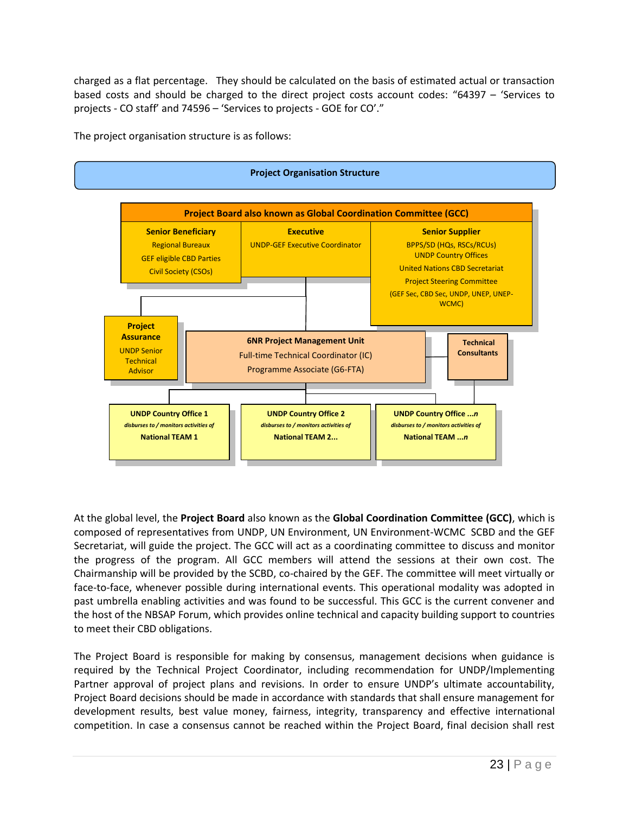charged as a flat percentage. They should be calculated on the basis of estimated actual or transaction based costs and should be charged to the direct project costs account codes: "64397 – 'Services to projects - CO staff' and 74596 – 'Services to projects - GOE for CO'."

The project organisation structure is as follows:



At the global level, the **Project Board** also known as the **Global Coordination Committee (GCC)**, which is composed of representatives from UNDP, UN Environment, UN Environment-WCMC SCBD and the GEF Secretariat, will guide the project. The GCC will act as a coordinating committee to discuss and monitor the progress of the program. All GCC members will attend the sessions at their own cost. The Chairmanship will be provided by the SCBD, co-chaired by the GEF. The committee will meet virtually or face-to-face, whenever possible during international events. This operational modality was adopted in past umbrella enabling activities and was found to be successful. This GCC is the current convener and the host of the NBSAP Forum, which provides online technical and capacity building support to countries to meet their CBD obligations.

The Project Board is responsible for making by consensus, management decisions when guidance is required by the Technical Project Coordinator, including recommendation for UNDP/Implementing Partner approval of project plans and revisions. In order to ensure UNDP's ultimate accountability, Project Board decisions should be made in accordance with standards that shall ensure management for development results, best value money, fairness, integrity, transparency and effective international competition. In case a consensus cannot be reached within the Project Board, final decision shall rest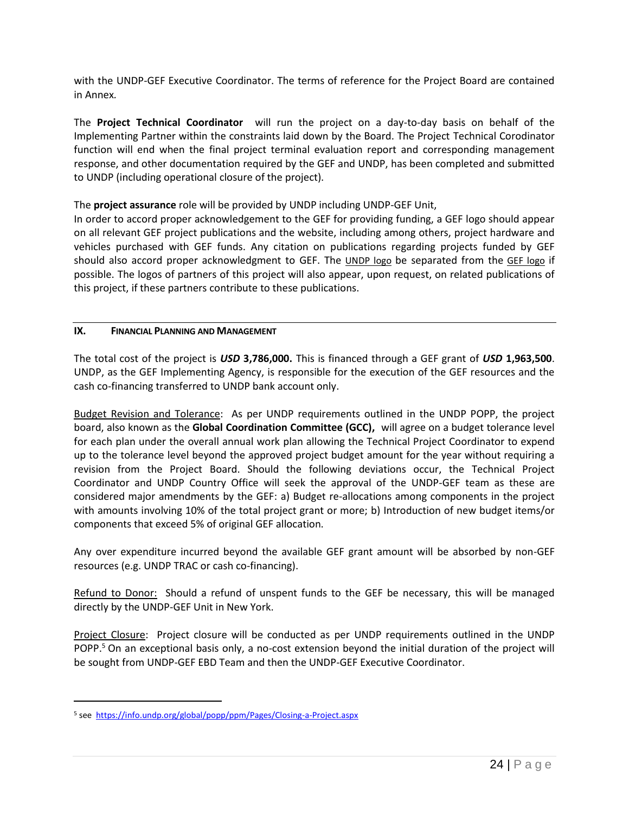with the UNDP-GEF Executive Coordinator. The terms of reference for the Project Board are contained in Annex*.* 

The **Project Technical Coordinator** will run the project on a day-to-day basis on behalf of the Implementing Partner within the constraints laid down by the Board. The Project Technical Corodinator function will end when the final project terminal evaluation report and corresponding management response, and other documentation required by the GEF and UNDP, has been completed and submitted to UNDP (including operational closure of the project).

The **project assurance** role will be provided by UNDP including UNDP-GEF Unit,

In order to accord proper acknowledgement to the GEF for providing funding, a GEF logo should appear on all relevant GEF project publications and the website, including among others, project hardware and vehicles purchased with GEF funds. Any citation on publications regarding projects funded by GEF should also accord proper acknowledgment to GEF. The [UNDP logo](http://intra.undp.org/gef/programmingmanual/undp_logo_page.htm) be separated from the [GEF logo](http://intra.undp.org/gef/programmingmanual/gef_logo_page.htm) if possible. The logos of partners of this project will also appear, upon request, on related publications of this project, if these partners contribute to these publications.

#### <span id="page-23-0"></span>**IX. FINANCIAL PLANNING AND MANAGEMENT**

The total cost of the project is *USD* **3,786,000.** This is financed through a GEF grant of *USD* **1,963,500**. UNDP, as the GEF Implementing Agency, is responsible for the execution of the GEF resources and the cash co-financing transferred to UNDP bank account only.

Budget Revision and Tolerance: As per UNDP requirements outlined in the UNDP POPP, the project board, also known as the **Global Coordination Committee (GCC),** will agree on a budget tolerance level for each plan under the overall annual work plan allowing the Technical Project Coordinator to expend up to the tolerance level beyond the approved project budget amount for the year without requiring a revision from the Project Board. Should the following deviations occur, the Technical Project Coordinator and UNDP Country Office will seek the approval of the UNDP-GEF team as these are considered major amendments by the GEF: a) Budget re-allocations among components in the project with amounts involving 10% of the total project grant or more; b) Introduction of new budget items/or components that exceed 5% of original GEF allocation.

Any over expenditure incurred beyond the available GEF grant amount will be absorbed by non-GEF resources (e.g. UNDP TRAC or cash co-financing).

Refund to Donor: Should a refund of unspent funds to the GEF be necessary, this will be managed directly by the UNDP-GEF Unit in New York.

Project Closure: Project closure will be conducted as per UNDP requirements outlined in the UNDP POPP.<sup>5</sup> On an exceptional basis only, a no-cost extension beyond the initial duration of the project will be sought from UNDP-GEF EBD Team and then the UNDP-GEF Executive Coordinator.

 $\overline{a}$ 

<sup>5</sup> see<https://info.undp.org/global/popp/ppm/Pages/Closing-a-Project.aspx>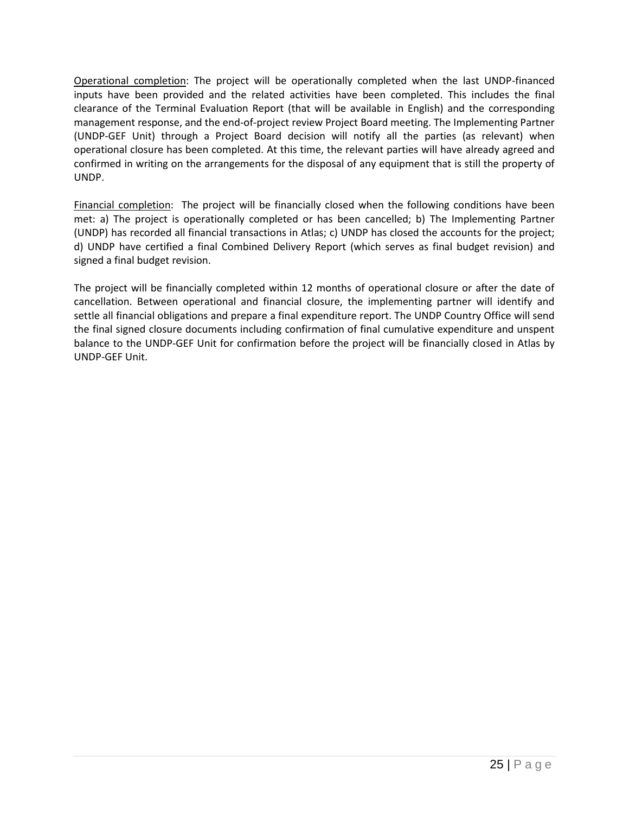Operational completion: The project will be operationally completed when the last UNDP-financed inputs have been provided and the related activities have been completed. This includes the final clearance of the Terminal Evaluation Report (that will be available in English) and the corresponding management response, and the end-of-project review Project Board meeting. The Implementing Partner (UNDP-GEF Unit) through a Project Board decision will notify all the parties (as relevant) when operational closure has been completed. At this time, the relevant parties will have already agreed and confirmed in writing on the arrangements for the disposal of any equipment that is still the property of UNDP.

Financial completion: The project will be financially closed when the following conditions have been met: a) The project is operationally completed or has been cancelled; b) The Implementing Partner (UNDP) has recorded all financial transactions in Atlas; c) UNDP has closed the accounts for the project; d) UNDP have certified a final Combined Delivery Report (which serves as final budget revision) and signed a final budget revision.

The project will be financially completed within 12 months of operational closure or after the date of cancellation. Between operational and financial closure, the implementing partner will identify and settle all financial obligations and prepare a final expenditure report. The UNDP Country Office will send the final signed closure documents including confirmation of final cumulative expenditure and unspent balance to the UNDP-GEF Unit for confirmation before the project will be financially closed in Atlas by UNDP-GEF Unit.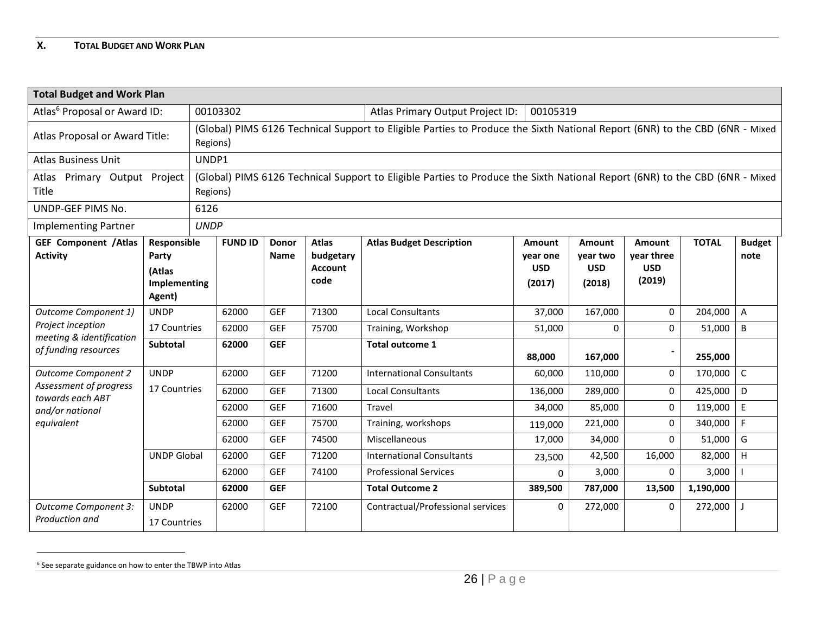## **X. TOTAL BUDGET AND WORK PLAN**

<span id="page-25-0"></span>

| <b>Total Budget and Work Plan</b>                                                                           |                                                                                                                                         |             |                |                      |                                                     |                                                                                                                             |                                            |                                            |                                              |              |                       |
|-------------------------------------------------------------------------------------------------------------|-----------------------------------------------------------------------------------------------------------------------------------------|-------------|----------------|----------------------|-----------------------------------------------------|-----------------------------------------------------------------------------------------------------------------------------|--------------------------------------------|--------------------------------------------|----------------------------------------------|--------------|-----------------------|
| Atlas <sup>6</sup> Proposal or Award ID:                                                                    |                                                                                                                                         |             | 00103302       |                      |                                                     | Atlas Primary Output Project ID:                                                                                            | 00105319                                   |                                            |                                              |              |                       |
| Atlas Proposal or Award Title:                                                                              | (Global) PIMS 6126 Technical Support to Eligible Parties to Produce the Sixth National Report (6NR) to the CBD (6NR - Mixed<br>Regions) |             |                |                      |                                                     |                                                                                                                             |                                            |                                            |                                              |              |                       |
| <b>Atlas Business Unit</b>                                                                                  |                                                                                                                                         | UNDP1       |                |                      |                                                     |                                                                                                                             |                                            |                                            |                                              |              |                       |
| Atlas Primary Output Project<br>Title                                                                       |                                                                                                                                         | Regions)    |                |                      |                                                     | (Global) PIMS 6126 Technical Support to Eligible Parties to Produce the Sixth National Report (6NR) to the CBD (6NR - Mixed |                                            |                                            |                                              |              |                       |
| UNDP-GEF PIMS No.                                                                                           |                                                                                                                                         | 6126        |                |                      |                                                     |                                                                                                                             |                                            |                                            |                                              |              |                       |
| <b>Implementing Partner</b>                                                                                 |                                                                                                                                         | <b>UNDP</b> |                |                      |                                                     |                                                                                                                             |                                            |                                            |                                              |              |                       |
| <b>GEF Component / Atlas</b><br>Responsible<br><b>Activity</b><br>Party<br>(Atlas<br>Implementing<br>Agent) |                                                                                                                                         |             | <b>FUND ID</b> | <b>Donor</b><br>Name | <b>Atlas</b><br>budgetary<br><b>Account</b><br>code | <b>Atlas Budget Description</b>                                                                                             | Amount<br>year one<br><b>USD</b><br>(2017) | Amount<br>year two<br><b>USD</b><br>(2018) | Amount<br>year three<br><b>USD</b><br>(2019) | <b>TOTAL</b> | <b>Budget</b><br>note |
| Outcome Component 1)                                                                                        | <b>UNDP</b>                                                                                                                             |             | 62000          | <b>GEF</b>           | 71300                                               | <b>Local Consultants</b>                                                                                                    | 37,000                                     | 167,000                                    | $\mathbf{0}$                                 | 204,000      | $\mathsf{A}$          |
| Project inception<br>meeting & identification                                                               | 17 Countries                                                                                                                            |             | 62000          | <b>GEF</b>           | 75700                                               | Training, Workshop                                                                                                          | 51,000                                     | $\Omega$                                   | $\Omega$                                     | 51,000       | B                     |
| of funding resources                                                                                        | Subtotal                                                                                                                                |             | 62000          | <b>GEF</b>           |                                                     | <b>Total outcome 1</b>                                                                                                      | 88,000                                     | 167,000                                    |                                              | 255,000      |                       |
| <b>Outcome Component 2</b>                                                                                  | <b>UNDP</b>                                                                                                                             |             | 62000          | <b>GEF</b>           | 71200                                               | <b>International Consultants</b>                                                                                            | 60,000                                     | 110,000                                    | $\mathbf{0}$                                 | 170,000      | $\mathsf C$           |
| Assessment of progress<br>towards each ABT                                                                  | 17 Countries                                                                                                                            |             | 62000          | <b>GEF</b>           | 71300                                               | <b>Local Consultants</b>                                                                                                    | 136,000                                    | 289,000                                    | $\Omega$                                     | 425,000      | D                     |
| and/or national                                                                                             |                                                                                                                                         |             | 62000          | <b>GEF</b>           | 71600                                               | Travel                                                                                                                      | 34,000                                     | 85,000                                     | $\Omega$                                     | 119,000      | $\mathsf E$           |
| equivalent                                                                                                  |                                                                                                                                         |             | 62000          | <b>GEF</b>           | 75700                                               | Training, workshops                                                                                                         | 119,000                                    | 221,000                                    | $\Omega$                                     | 340,000      | F                     |
|                                                                                                             |                                                                                                                                         |             | 62000          | <b>GEF</b>           | 74500                                               | Miscellaneous                                                                                                               | 17,000                                     | 34,000                                     | $\Omega$                                     | 51,000       | G                     |
|                                                                                                             | <b>UNDP Global</b>                                                                                                                      |             | 62000          | <b>GEF</b>           | 71200                                               | <b>International Consultants</b>                                                                                            | 23,500                                     | 42,500                                     | 16,000                                       | 82,000       | H                     |
|                                                                                                             |                                                                                                                                         |             | 62000          | <b>GEF</b>           | 74100                                               | <b>Professional Services</b>                                                                                                | 0                                          | 3,000                                      | $\Omega$                                     | 3,000        |                       |
|                                                                                                             | Subtotal                                                                                                                                |             | 62000          | <b>GEF</b>           |                                                     | <b>Total Outcome 2</b>                                                                                                      | 389,500                                    | 787,000                                    | 13,500                                       | 1,190,000    |                       |
| Outcome Component 3:<br>Production and                                                                      | <b>UNDP</b><br>17 Countries                                                                                                             |             | 62000          | <b>GEF</b>           | 72100                                               | Contractual/Professional services                                                                                           | $\mathbf{0}$                               | 272,000                                    | $\mathbf{0}$                                 | 272,000      |                       |

 $^6$  See separate guidance on how to enter the TBWP into Atlas

 $\overline{a}$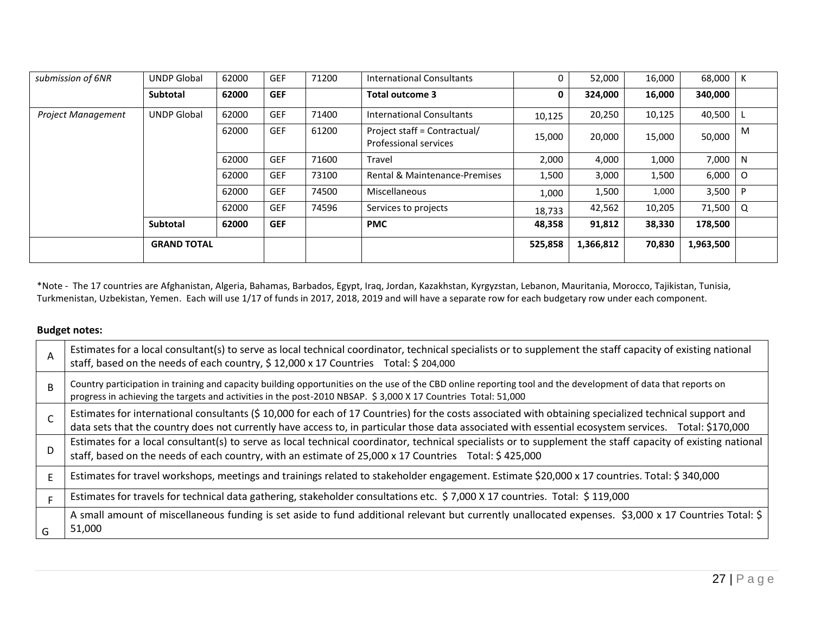| submission of 6NR         | <b>UNDP Global</b> | 62000 | <b>GEF</b> | 71200 | <b>International Consultants</b>                             |         | 52,000    | 16,000 | 68,000    | К |
|---------------------------|--------------------|-------|------------|-------|--------------------------------------------------------------|---------|-----------|--------|-----------|---|
|                           | Subtotal           | 62000 | <b>GEF</b> |       | Total outcome 3                                              | 0       | 324,000   | 16,000 | 340,000   |   |
| <b>Project Management</b> | <b>UNDP Global</b> | 62000 | <b>GEF</b> | 71400 | International Consultants                                    | 10,125  | 20,250    | 10,125 | 40,500    |   |
|                           |                    | 62000 | <b>GEF</b> | 61200 | Project staff = Contractual/<br><b>Professional services</b> | 15,000  | 20,000    | 15,000 | 50,000    | M |
|                           |                    | 62000 | <b>GEF</b> | 71600 | Travel                                                       | 2,000   | 4,000     | 1,000  | 7,000     | N |
|                           |                    | 62000 | <b>GEF</b> | 73100 | Rental & Maintenance-Premises                                | 1,500   | 3,000     | 1,500  | 6,000     | O |
|                           |                    | 62000 | <b>GEF</b> | 74500 | Miscellaneous                                                | 1,000   | 1,500     | 1,000  | 3,500     |   |
|                           |                    | 62000 | <b>GEF</b> | 74596 | Services to projects                                         | 18,733  | 42,562    | 10,205 | 71,500    | Q |
|                           | Subtotal           | 62000 | <b>GEF</b> |       | <b>PMC</b>                                                   | 48,358  | 91,812    | 38,330 | 178,500   |   |
|                           | <b>GRAND TOTAL</b> |       |            |       |                                                              | 525,858 | 1,366,812 | 70,830 | 1,963,500 |   |

\*Note - The 17 countries are Afghanistan, Algeria, Bahamas, Barbados, Egypt, Iraq, Jordan, Kazakhstan, Kyrgyzstan, Lebanon, Mauritania, Morocco, Tajikistan, Tunisia, Turkmenistan, Uzbekistan, Yemen. Each will use 1/17 of funds in 2017, 2018, 2019 and will have a separate row for each budgetary row under each component.

## **Budget notes:**

| A            | Estimates for a local consultant(s) to serve as local technical coordinator, technical specialists or to supplement the staff capacity of existing national<br>staff, based on the needs of each country, \$12,000 x 17 Countries Total: \$204,000                                                             |
|--------------|----------------------------------------------------------------------------------------------------------------------------------------------------------------------------------------------------------------------------------------------------------------------------------------------------------------|
| <sub>R</sub> | Country participation in training and capacity building opportunities on the use of the CBD online reporting tool and the development of data that reports on<br>progress in achieving the targets and activities in the post-2010 NBSAP. \$3,000 X 17 Countries Total: 51,000                                 |
|              | Estimates for international consultants (\$10,000 for each of 17 Countries) for the costs associated with obtaining specialized technical support and<br>data sets that the country does not currently have access to, in particular those data associated with essential ecosystem services. Total: \$170,000 |
| D            | Estimates for a local consultant(s) to serve as local technical coordinator, technical specialists or to supplement the staff capacity of existing national<br>staff, based on the needs of each country, with an estimate of 25,000 x 17 Countries Total: \$425,000                                           |
| F            | Estimates for travel workshops, meetings and trainings related to stakeholder engagement. Estimate \$20,000 x 17 countries. Total: \$ 340,000                                                                                                                                                                  |
| F            | Estimates for travels for technical data gathering, stakeholder consultations etc. \$7,000 X 17 countries. Total: \$119,000                                                                                                                                                                                    |
| G            | A small amount of miscellaneous funding is set aside to fund additional relevant but currently unallocated expenses. \$3,000 x 17 Countries Total: \$<br>51,000                                                                                                                                                |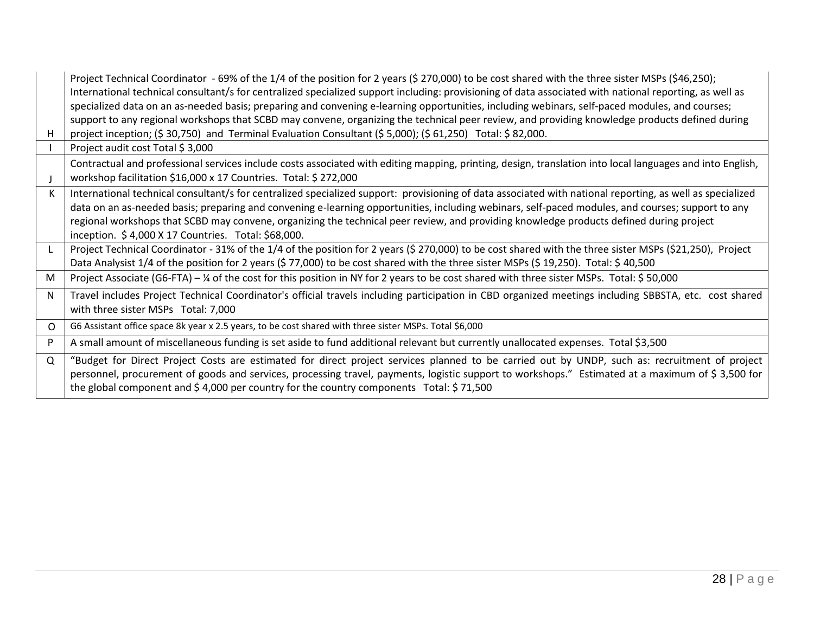| н        | Project Technical Coordinator - 69% of the 1/4 of the position for 2 years (\$ 270,000) to be cost shared with the three sister MSPs (\$46,250);<br>International technical consultant/s for centralized specialized support including: provisioning of data associated with national reporting, as well as<br>specialized data on an as-needed basis; preparing and convening e-learning opportunities, including webinars, self-paced modules, and courses;<br>support to any regional workshops that SCBD may convene, organizing the technical peer review, and providing knowledge products defined during<br>project inception; $(5 30,750)$ and Terminal Evaluation Consultant $(5 5,000)$ ; $(5 61,250)$ Total: $5 82,000$ . |
|----------|--------------------------------------------------------------------------------------------------------------------------------------------------------------------------------------------------------------------------------------------------------------------------------------------------------------------------------------------------------------------------------------------------------------------------------------------------------------------------------------------------------------------------------------------------------------------------------------------------------------------------------------------------------------------------------------------------------------------------------------|
|          | Project audit cost Total \$3,000                                                                                                                                                                                                                                                                                                                                                                                                                                                                                                                                                                                                                                                                                                     |
|          | Contractual and professional services include costs associated with editing mapping, printing, design, translation into local languages and into English,<br>workshop facilitation \$16,000 x 17 Countries. Total: \$ 272,000                                                                                                                                                                                                                                                                                                                                                                                                                                                                                                        |
|          | International technical consultant/s for centralized specialized support: provisioning of data associated with national reporting, as well as specialized<br>data on an as-needed basis; preparing and convening e-learning opportunities, including webinars, self-paced modules, and courses; support to any<br>regional workshops that SCBD may convene, organizing the technical peer review, and providing knowledge products defined during project<br>inception. \$4,000 X 17 Countries. Total: \$68,000.                                                                                                                                                                                                                     |
| L        | Project Technical Coordinator - 31% of the 1/4 of the position for 2 years (\$ 270,000) to be cost shared with the three sister MSPs (\$21,250), Project<br>Data Analysist 1/4 of the position for 2 years (\$77,000) to be cost shared with the three sister MSPs (\$19,250). Total: \$40,500                                                                                                                                                                                                                                                                                                                                                                                                                                       |
| M        | Project Associate (G6-FTA) - ¼ of the cost for this position in NY for 2 years to be cost shared with three sister MSPs. Total: \$50,000                                                                                                                                                                                                                                                                                                                                                                                                                                                                                                                                                                                             |
| N        | Travel includes Project Technical Coordinator's official travels including participation in CBD organized meetings including SBBSTA, etc. cost shared<br>with three sister MSPs Total: 7,000                                                                                                                                                                                                                                                                                                                                                                                                                                                                                                                                         |
| $\Omega$ | G6 Assistant office space 8k year x 2.5 years, to be cost shared with three sister MSPs. Total \$6,000                                                                                                                                                                                                                                                                                                                                                                                                                                                                                                                                                                                                                               |
| P        | A small amount of miscellaneous funding is set aside to fund additional relevant but currently unallocated expenses. Total \$3,500                                                                                                                                                                                                                                                                                                                                                                                                                                                                                                                                                                                                   |
| $\Omega$ | "Budget for Direct Project Costs are estimated for direct project services planned to be carried out by UNDP, such as: recruitment of project<br>personnel, procurement of goods and services, processing travel, payments, logistic support to workshops." Estimated at a maximum of \$3,500 for<br>the global component and $$4,000$ per country for the country components Total: $$71,500$                                                                                                                                                                                                                                                                                                                                       |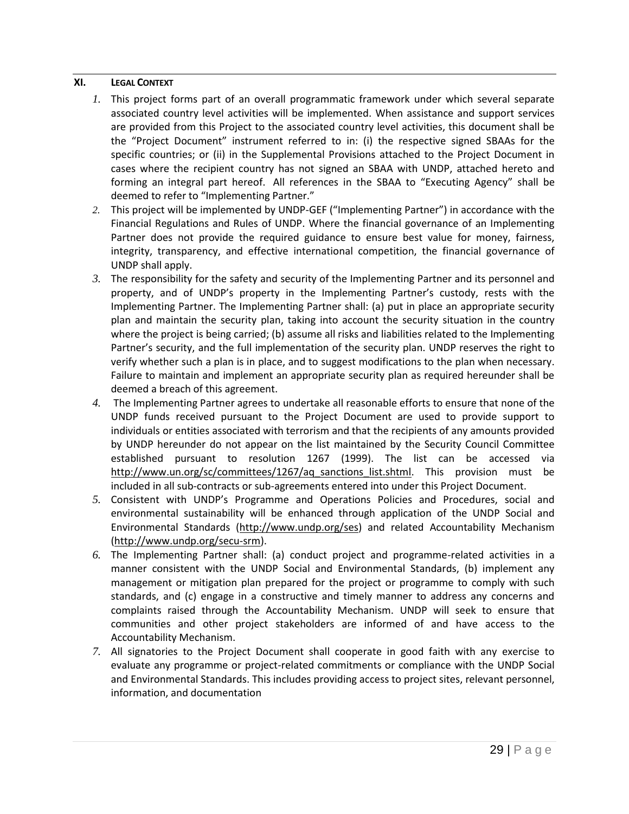## <span id="page-28-0"></span>**XI. LEGAL CONTEXT**

- *1.* This project forms part of an overall programmatic framework under which several separate associated country level activities will be implemented. When assistance and support services are provided from this Project to the associated country level activities, this document shall be the "Project Document" instrument referred to in: (i) the respective signed SBAAs for the specific countries; or (ii) in the Supplemental Provisions attached to the Project Document in cases where the recipient country has not signed an SBAA with UNDP, attached hereto and forming an integral part hereof. All references in the SBAA to "Executing Agency" shall be deemed to refer to "Implementing Partner."
- *2.* This project will be implemented by UNDP-GEF ("Implementing Partner") in accordance with the Financial Regulations and Rules of UNDP. Where the financial governance of an Implementing Partner does not provide the required guidance to ensure best value for money, fairness, integrity, transparency, and effective international competition, the financial governance of UNDP shall apply.
- *3.* The responsibility for the safety and security of the Implementing Partner and its personnel and property, and of UNDP's property in the Implementing Partner's custody, rests with the Implementing Partner. The Implementing Partner shall: (a) put in place an appropriate security plan and maintain the security plan, taking into account the security situation in the country where the project is being carried; (b) assume all risks and liabilities related to the Implementing Partner's security, and the full implementation of the security plan. UNDP reserves the right to verify whether such a plan is in place, and to suggest modifications to the plan when necessary. Failure to maintain and implement an appropriate security plan as required hereunder shall be deemed a breach of this agreement.
- *4.* The Implementing Partner agrees to undertake all reasonable efforts to ensure that none of the UNDP funds received pursuant to the Project Document are used to provide support to individuals or entities associated with terrorism and that the recipients of any amounts provided by UNDP hereunder do not appear on the list maintained by the Security Council Committee established pursuant to resolution 1267 (1999). The list can be accessed [http://www.un.org/sc/committees/1267/aq\\_sanctions\\_list.shtml.](http://www.un.org/sc/committees/1267/aq_sanctions_list.shtml) This provision must be included in all sub-contracts or sub-agreements entered into under this Project Document.
- *5.* Consistent with UNDP's Programme and Operations Policies and Procedures, social and environmental sustainability will be enhanced through application of the UNDP Social and Environmental Standards [\(http://www.undp.org/ses\)](http://www.undp.org/ses) and related Accountability Mechanism [\(http://www.undp.org/secu-srm\)](http://www.undp.org/secu-srm).
- *6.* The Implementing Partner shall: (a) conduct project and programme-related activities in a manner consistent with the UNDP Social and Environmental Standards, (b) implement any management or mitigation plan prepared for the project or programme to comply with such standards, and (c) engage in a constructive and timely manner to address any concerns and complaints raised through the Accountability Mechanism. UNDP will seek to ensure that communities and other project stakeholders are informed of and have access to the Accountability Mechanism.
- *7.* All signatories to the Project Document shall cooperate in good faith with any exercise to evaluate any programme or project-related commitments or compliance with the UNDP Social and Environmental Standards. This includes providing access to project sites, relevant personnel, information, and documentation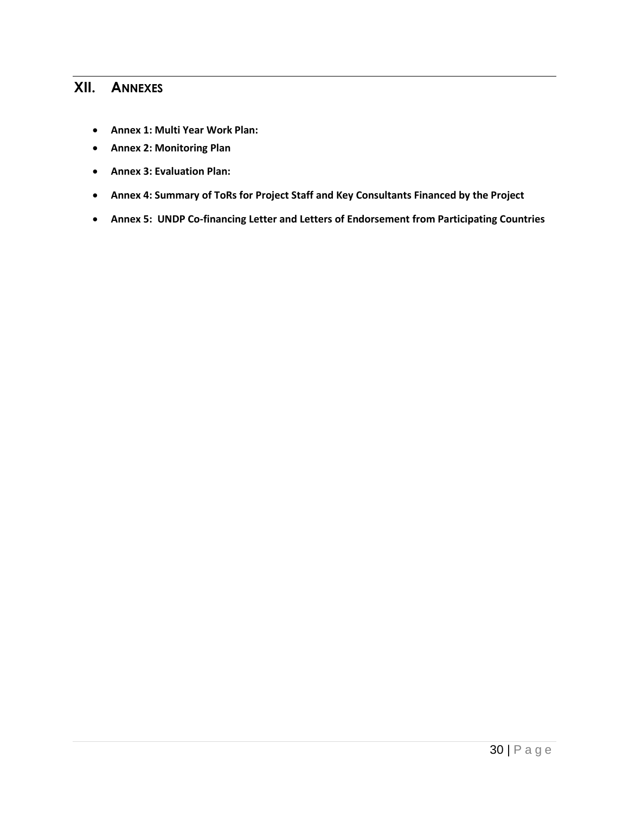# <span id="page-29-0"></span>**XII. ANNEXES**

- **Annex 1: Multi Year Work Plan:**
- **Annex 2: Monitoring Plan**
- **Annex 3: Evaluation Plan:**
- **Annex 4: Summary of ToRs for Project Staff and Key Consultants Financed by the Project**
- **Annex 5: UNDP Co-financing Letter and Letters of Endorsement from Participating Countries**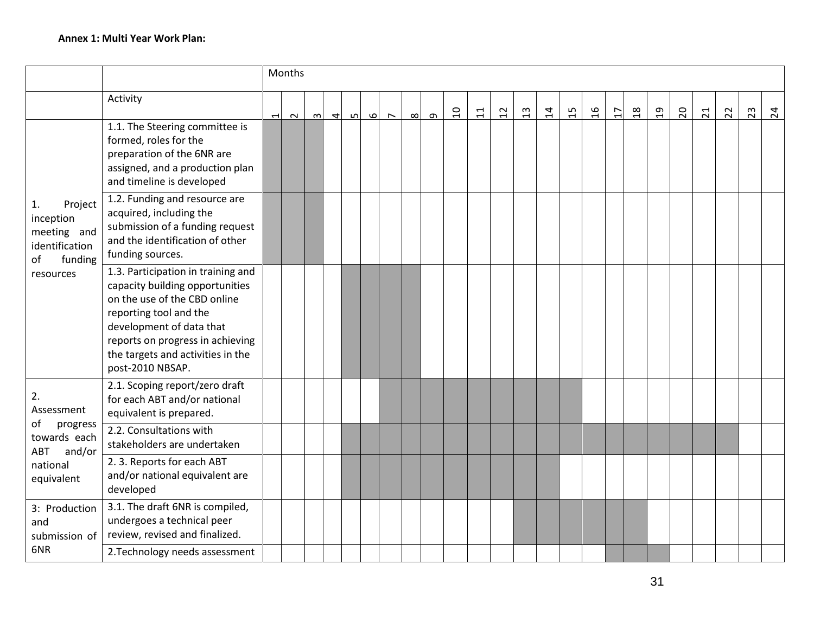|                                                                                           |                                                                                                                                                                                                                                                          |                          | Months |        |                |   |   |        |          |          |                |                 |                 |                |                |    |                |                |                |                |    |    |    |    |                 |
|-------------------------------------------------------------------------------------------|----------------------------------------------------------------------------------------------------------------------------------------------------------------------------------------------------------------------------------------------------------|--------------------------|--------|--------|----------------|---|---|--------|----------|----------|----------------|-----------------|-----------------|----------------|----------------|----|----------------|----------------|----------------|----------------|----|----|----|----|-----------------|
|                                                                                           | Activity                                                                                                                                                                                                                                                 | $\overline{\phantom{0}}$ | $\sim$ | $\sim$ | $\overline{ }$ | ம | ഄ | $\sim$ | $\infty$ | $\sigma$ | $\overline{a}$ | $\overline{11}$ | $\overline{12}$ | $\mathfrak{a}$ | $\overline{1}$ | 15 | $\mathfrak{g}$ | $\overline{L}$ | $\frac{8}{18}$ | $\overline{a}$ | 20 | 21 | 22 | 23 | $\overline{24}$ |
| Project<br>1.<br>inception<br>meeting and<br>identification<br>funding<br>of<br>resources | 1.1. The Steering committee is<br>formed, roles for the<br>preparation of the 6NR are<br>assigned, and a production plan<br>and timeline is developed                                                                                                    |                          |        |        |                |   |   |        |          |          |                |                 |                 |                |                |    |                |                |                |                |    |    |    |    |                 |
|                                                                                           | 1.2. Funding and resource are<br>acquired, including the<br>submission of a funding request<br>and the identification of other<br>funding sources.                                                                                                       |                          |        |        |                |   |   |        |          |          |                |                 |                 |                |                |    |                |                |                |                |    |    |    |    |                 |
|                                                                                           | 1.3. Participation in training and<br>capacity building opportunities<br>on the use of the CBD online<br>reporting tool and the<br>development of data that<br>reports on progress in achieving<br>the targets and activities in the<br>post-2010 NBSAP. |                          |        |        |                |   |   |        |          |          |                |                 |                 |                |                |    |                |                |                |                |    |    |    |    |                 |
| 2.<br>Assessment                                                                          | 2.1. Scoping report/zero draft<br>for each ABT and/or national<br>equivalent is prepared.                                                                                                                                                                |                          |        |        |                |   |   |        |          |          |                |                 |                 |                |                |    |                |                |                |                |    |    |    |    |                 |
| progress<br>οf<br>towards each                                                            | 2.2. Consultations with<br>stakeholders are undertaken                                                                                                                                                                                                   |                          |        |        |                |   |   |        |          |          |                |                 |                 |                |                |    |                |                |                |                |    |    |    |    |                 |
| ABT<br>and/or<br>national<br>equivalent                                                   | 2.3. Reports for each ABT<br>and/or national equivalent are<br>developed                                                                                                                                                                                 |                          |        |        |                |   |   |        |          |          |                |                 |                 |                |                |    |                |                |                |                |    |    |    |    |                 |
| 3: Production<br>and<br>submission of                                                     | 3.1. The draft 6NR is compiled,<br>undergoes a technical peer<br>review, revised and finalized.                                                                                                                                                          |                          |        |        |                |   |   |        |          |          |                |                 |                 |                |                |    |                |                |                |                |    |    |    |    |                 |
| 6NR                                                                                       | 2. Technology needs assessment                                                                                                                                                                                                                           |                          |        |        |                |   |   |        |          |          |                |                 |                 |                |                |    |                |                |                |                |    |    |    |    |                 |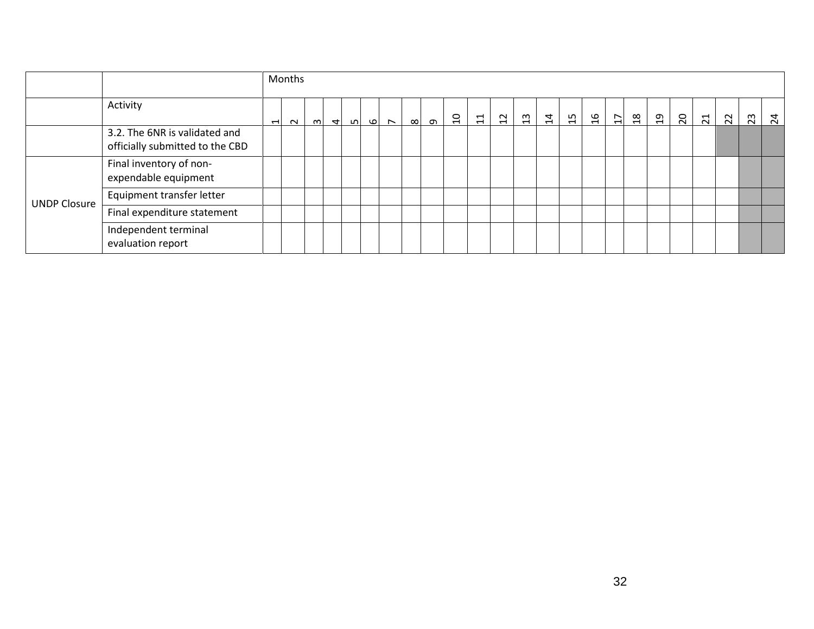|                     |                                                                  |                |          | Months |  |  |  |               |  |      |                |                           |    |    |               |                |                  |                |                |                |                |                 |    |                 |
|---------------------|------------------------------------------------------------------|----------------|----------|--------|--|--|--|---------------|--|------|----------------|---------------------------|----|----|---------------|----------------|------------------|----------------|----------------|----------------|----------------|-----------------|----|-----------------|
|                     | Activity                                                         | $\overline{ }$ | $\sim$ 1 |        |  |  |  | $\frac{1}{2}$ |  | ∞∣ ာ | $\overline{a}$ | $\overline{\mathfrak{u}}$ | 12 | 13 | $\frac{1}{4}$ | $\frac{15}{2}$ | $\mathfrak{g}_1$ | $\frac{1}{12}$ | $\mathfrak{a}$ | $\overline{c}$ | $\overline{z}$ | $\overline{22}$ | 23 | $\overline{24}$ |
|                     | 3.2. The 6NR is validated and<br>officially submitted to the CBD |                |          |        |  |  |  |               |  |      |                |                           |    |    |               |                |                  |                |                |                |                |                 |    |                 |
|                     | Final inventory of non-<br>expendable equipment                  |                |          |        |  |  |  |               |  |      |                |                           |    |    |               |                |                  |                |                |                |                |                 |    |                 |
| <b>UNDP Closure</b> | Equipment transfer letter                                        |                |          |        |  |  |  |               |  |      |                |                           |    |    |               |                |                  |                |                |                |                |                 |    |                 |
|                     | Final expenditure statement                                      |                |          |        |  |  |  |               |  |      |                |                           |    |    |               |                |                  |                |                |                |                |                 |    |                 |
|                     | Independent terminal<br>evaluation report                        |                |          |        |  |  |  |               |  |      |                |                           |    |    |               |                |                  |                |                |                |                |                 |    |                 |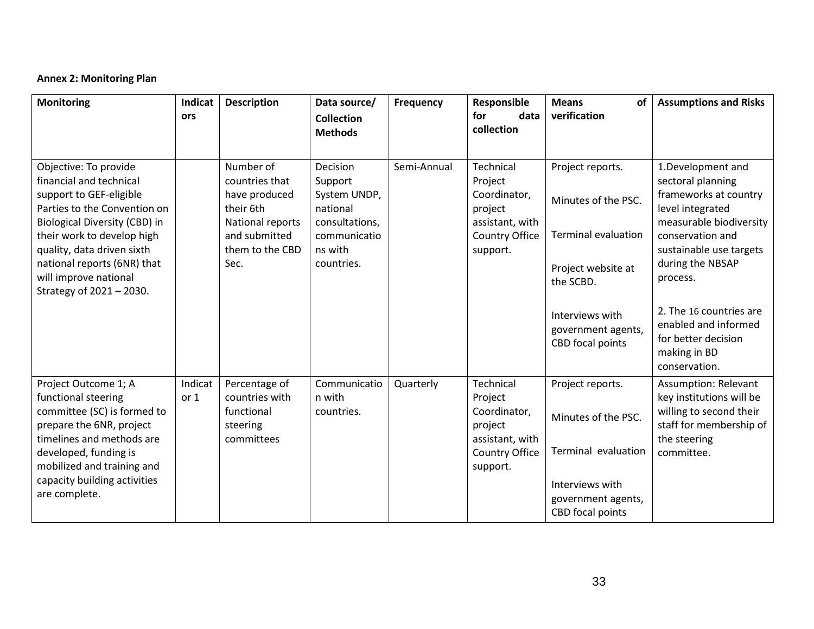## **Annex 2: Monitoring Plan**

| <b>Monitoring</b>                                                                                                                                                                                                                                                                            | Indicat<br>ors  | <b>Description</b>                                                                                                        | Data source/<br>Collection                                                                                 | <b>Frequency</b> | Responsible<br>for<br>data<br>collection                                                                | <b>Means</b><br>of<br>verification                                                                       | <b>Assumptions and Risks</b>                                                                                                                                                                  |
|----------------------------------------------------------------------------------------------------------------------------------------------------------------------------------------------------------------------------------------------------------------------------------------------|-----------------|---------------------------------------------------------------------------------------------------------------------------|------------------------------------------------------------------------------------------------------------|------------------|---------------------------------------------------------------------------------------------------------|----------------------------------------------------------------------------------------------------------|-----------------------------------------------------------------------------------------------------------------------------------------------------------------------------------------------|
|                                                                                                                                                                                                                                                                                              |                 |                                                                                                                           | <b>Methods</b>                                                                                             |                  |                                                                                                         |                                                                                                          |                                                                                                                                                                                               |
| Objective: To provide<br>financial and technical<br>support to GEF-eligible<br>Parties to the Convention on<br>Biological Diversity (CBD) in<br>their work to develop high<br>quality, data driven sixth<br>national reports (6NR) that<br>will improve national<br>Strategy of 2021 - 2030. |                 | Number of<br>countries that<br>have produced<br>their 6th<br>National reports<br>and submitted<br>them to the CBD<br>Sec. | Decision<br>Support<br>System UNDP,<br>national<br>consultations,<br>communicatio<br>ns with<br>countries. | Semi-Annual      | <b>Technical</b><br>Project<br>Coordinator,<br>project<br>assistant, with<br>Country Office<br>support. | Project reports.<br>Minutes of the PSC.<br><b>Terminal evaluation</b><br>Project website at<br>the SCBD. | 1.Development and<br>sectoral planning<br>frameworks at country<br>level integrated<br>measurable biodiversity<br>conservation and<br>sustainable use targets<br>during the NBSAP<br>process. |
|                                                                                                                                                                                                                                                                                              |                 |                                                                                                                           |                                                                                                            |                  |                                                                                                         | Interviews with<br>government agents,<br>CBD focal points                                                | 2. The 16 countries are<br>enabled and informed<br>for better decision<br>making in BD<br>conservation.                                                                                       |
| Project Outcome 1; A<br>functional steering<br>committee (SC) is formed to<br>prepare the 6NR, project<br>timelines and methods are<br>developed, funding is<br>mobilized and training and<br>capacity building activities                                                                   | Indicat<br>or 1 | Percentage of<br>countries with<br>functional<br>steering<br>committees                                                   | Communicatio<br>n with<br>countries.                                                                       | Quarterly        | Technical<br>Project<br>Coordinator,<br>project<br>assistant, with<br>Country Office<br>support.        | Project reports.<br>Minutes of the PSC.<br>Terminal evaluation                                           | <b>Assumption: Relevant</b><br>key institutions will be<br>willing to second their<br>staff for membership of<br>the steering<br>committee.                                                   |
| are complete.                                                                                                                                                                                                                                                                                |                 |                                                                                                                           |                                                                                                            |                  |                                                                                                         | Interviews with<br>government agents,<br>CBD focal points                                                |                                                                                                                                                                                               |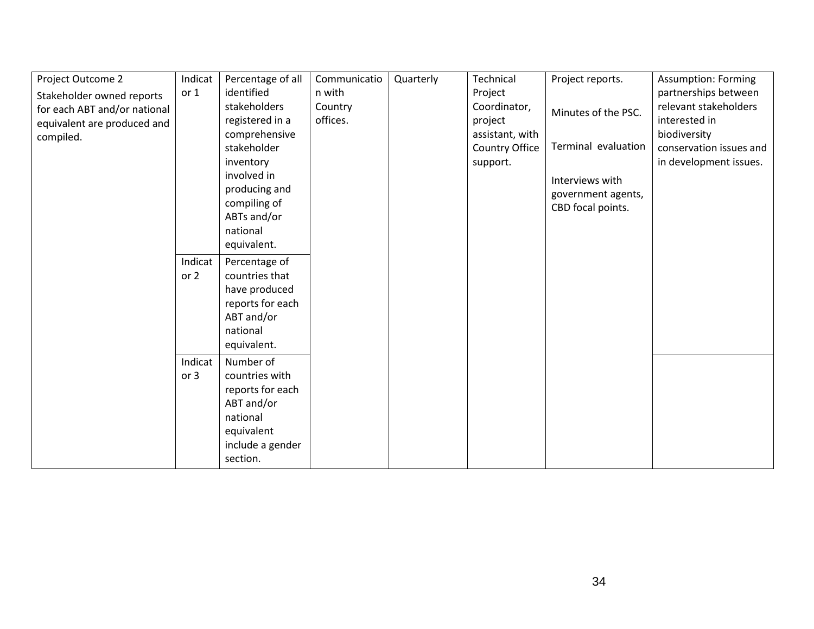| Project Outcome 2            | Indicat | Percentage of all | Communicatio | Quarterly | Technical       | Project reports.    | <b>Assumption: Forming</b> |
|------------------------------|---------|-------------------|--------------|-----------|-----------------|---------------------|----------------------------|
| Stakeholder owned reports    | or 1    | identified        | n with       |           | Project         |                     | partnerships between       |
| for each ABT and/or national |         | stakeholders      | Country      |           | Coordinator,    | Minutes of the PSC. | relevant stakeholders      |
| equivalent are produced and  |         | registered in a   | offices.     |           | project         |                     | interested in              |
| compiled.                    |         | comprehensive     |              |           | assistant, with |                     | biodiversity               |
|                              |         | stakeholder       |              |           | Country Office  | Terminal evaluation | conservation issues and    |
|                              |         | inventory         |              |           | support.        |                     | in development issues.     |
|                              |         | involved in       |              |           |                 | Interviews with     |                            |
|                              |         | producing and     |              |           |                 | government agents,  |                            |
|                              |         | compiling of      |              |           |                 | CBD focal points.   |                            |
|                              |         | ABTs and/or       |              |           |                 |                     |                            |
|                              |         | national          |              |           |                 |                     |                            |
|                              |         | equivalent.       |              |           |                 |                     |                            |
|                              | Indicat | Percentage of     |              |           |                 |                     |                            |
|                              | or 2    | countries that    |              |           |                 |                     |                            |
|                              |         | have produced     |              |           |                 |                     |                            |
|                              |         | reports for each  |              |           |                 |                     |                            |
|                              |         | ABT and/or        |              |           |                 |                     |                            |
|                              |         | national          |              |           |                 |                     |                            |
|                              |         | equivalent.       |              |           |                 |                     |                            |
|                              | Indicat | Number of         |              |           |                 |                     |                            |
|                              | or 3    | countries with    |              |           |                 |                     |                            |
|                              |         | reports for each  |              |           |                 |                     |                            |
|                              |         | ABT and/or        |              |           |                 |                     |                            |
|                              |         | national          |              |           |                 |                     |                            |
|                              |         | equivalent        |              |           |                 |                     |                            |
|                              |         | include a gender  |              |           |                 |                     |                            |
|                              |         | section.          |              |           |                 |                     |                            |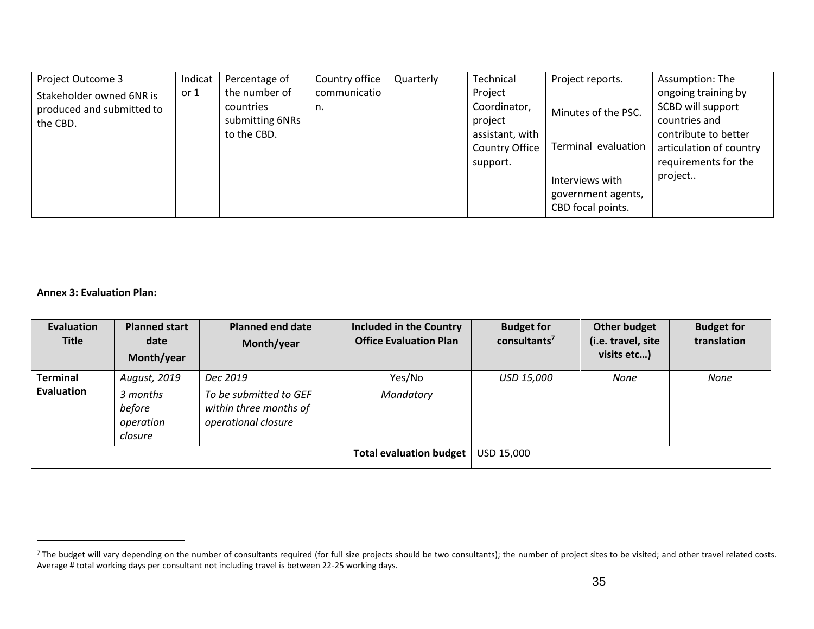| Project Outcome 3                                                 | Indicat | Percentage of                                                | Country office     | Quarterly | Technical                                                                           | Project reports.                                                                                         | Assumption: The                                                                                                                                 |
|-------------------------------------------------------------------|---------|--------------------------------------------------------------|--------------------|-----------|-------------------------------------------------------------------------------------|----------------------------------------------------------------------------------------------------------|-------------------------------------------------------------------------------------------------------------------------------------------------|
| Stakeholder owned 6NR is<br>produced and submitted to<br>the CBD. | or 1    | the number of<br>countries<br>submitting 6NRs<br>to the CBD. | communicatio<br>n. |           | Project<br>Coordinator,<br>project<br>assistant, with<br>Country Office<br>support. | Minutes of the PSC.<br>Terminal evaluation<br>Interviews with<br>government agents,<br>CBD focal points. | ongoing training by<br>SCBD will support<br>countries and<br>contribute to better<br>articulation of country<br>requirements for the<br>project |

**Annex 3: Evaluation Plan:** 

 $\overline{a}$ 

| <b>Evaluation</b><br><b>Title</b> | <b>Planned start</b><br>date<br>Month/year                 | <b>Planned end date</b><br>Month/year                                               | <b>Included in the Country</b><br><b>Office Evaluation Plan</b> | <b>Budget for</b><br>consultants <sup>7</sup> | Other budget<br>(i.e. travel, site<br>visits etc) | <b>Budget for</b><br>translation |
|-----------------------------------|------------------------------------------------------------|-------------------------------------------------------------------------------------|-----------------------------------------------------------------|-----------------------------------------------|---------------------------------------------------|----------------------------------|
| <b>Terminal</b><br>Evaluation     | August, 2019<br>3 months<br>before<br>operation<br>closure | Dec 2019<br>To be submitted to GEF<br>within three months of<br>operational closure | Yes/No<br>Mandatory                                             | USD 15,000                                    | None                                              | None                             |
|                                   |                                                            |                                                                                     | <b>Total evaluation budget</b>                                  | USD 15,000                                    |                                                   |                                  |

<sup>&</sup>lt;sup>7</sup> The budget will vary depending on the number of consultants required (for full size projects should be two consultants); the number of project sites to be visited; and other travel related costs. Average # total working days per consultant not including travel is between 22-25 working days.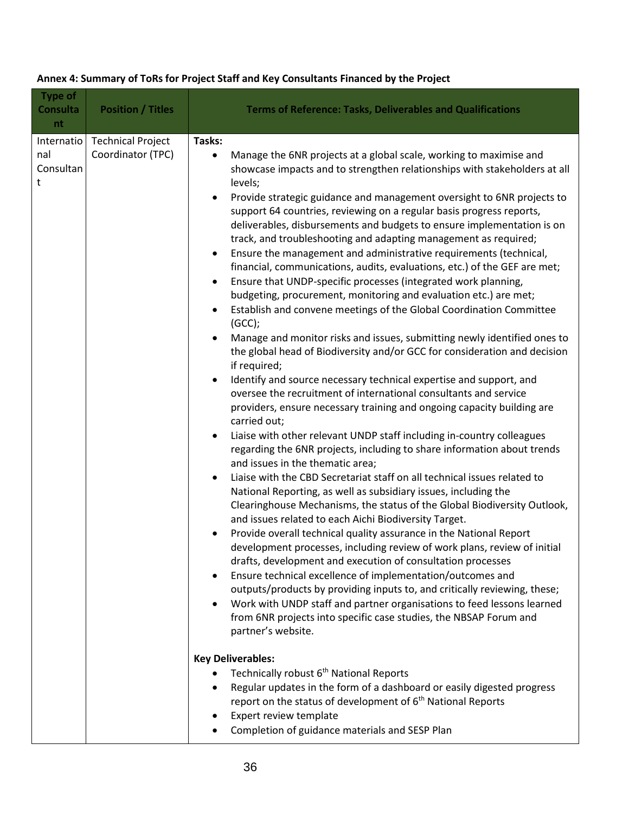| <b>Type of</b><br><b>Consulta</b><br>nt | <b>Position / Titles</b>                      | <b>Terms of Reference: Tasks, Deliverables and Qualifications</b>                                                                                                                                                                                                                                                                                                                                                                                                                                                                                                                                                                                                                                                                                                                                                                                                                                                                                                                                                                                                                                                                                                                                                                                                                                                                                                                                                                                                                                                                                                                                                                                                                                                                                                                                                                                                                                                                                                                                                                                                                                                                                                                                                                                                                                                                                                                                                                                                                                                                                                                                                                                      |
|-----------------------------------------|-----------------------------------------------|--------------------------------------------------------------------------------------------------------------------------------------------------------------------------------------------------------------------------------------------------------------------------------------------------------------------------------------------------------------------------------------------------------------------------------------------------------------------------------------------------------------------------------------------------------------------------------------------------------------------------------------------------------------------------------------------------------------------------------------------------------------------------------------------------------------------------------------------------------------------------------------------------------------------------------------------------------------------------------------------------------------------------------------------------------------------------------------------------------------------------------------------------------------------------------------------------------------------------------------------------------------------------------------------------------------------------------------------------------------------------------------------------------------------------------------------------------------------------------------------------------------------------------------------------------------------------------------------------------------------------------------------------------------------------------------------------------------------------------------------------------------------------------------------------------------------------------------------------------------------------------------------------------------------------------------------------------------------------------------------------------------------------------------------------------------------------------------------------------------------------------------------------------------------------------------------------------------------------------------------------------------------------------------------------------------------------------------------------------------------------------------------------------------------------------------------------------------------------------------------------------------------------------------------------------------------------------------------------------------------------------------------------------|
| Internatio<br>nal<br>Consultan<br>t     | <b>Technical Project</b><br>Coordinator (TPC) | Tasks:<br>Manage the 6NR projects at a global scale, working to maximise and<br>$\bullet$<br>showcase impacts and to strengthen relationships with stakeholders at all<br>levels;<br>Provide strategic guidance and management oversight to 6NR projects to<br>support 64 countries, reviewing on a regular basis progress reports,<br>deliverables, disbursements and budgets to ensure implementation is on<br>track, and troubleshooting and adapting management as required;<br>Ensure the management and administrative requirements (technical,<br>٠<br>financial, communications, audits, evaluations, etc.) of the GEF are met;<br>Ensure that UNDP-specific processes (integrated work planning,<br>budgeting, procurement, monitoring and evaluation etc.) are met;<br>Establish and convene meetings of the Global Coordination Committee<br>$\bullet$<br>(GCC);<br>Manage and monitor risks and issues, submitting newly identified ones to<br>the global head of Biodiversity and/or GCC for consideration and decision<br>if required;<br>Identify and source necessary technical expertise and support, and<br>oversee the recruitment of international consultants and service<br>providers, ensure necessary training and ongoing capacity building are<br>carried out;<br>Liaise with other relevant UNDP staff including in-country colleagues<br>regarding the 6NR projects, including to share information about trends<br>and issues in the thematic area;<br>Liaise with the CBD Secretariat staff on all technical issues related to<br>$\bullet$<br>National Reporting, as well as subsidiary issues, including the<br>Clearinghouse Mechanisms, the status of the Global Biodiversity Outlook,<br>and issues related to each Aichi Biodiversity Target.<br>Provide overall technical quality assurance in the National Report<br>$\bullet$<br>development processes, including review of work plans, review of initial<br>drafts, development and execution of consultation processes<br>Ensure technical excellence of implementation/outcomes and<br>outputs/products by providing inputs to, and critically reviewing, these;<br>Work with UNDP staff and partner organisations to feed lessons learned<br>from 6NR projects into specific case studies, the NBSAP Forum and<br>partner's website.<br><b>Key Deliverables:</b><br>Technically robust 6 <sup>th</sup> National Reports<br>Regular updates in the form of a dashboard or easily digested progress<br>$\bullet$<br>report on the status of development of $6th$ National Reports<br>Expert review template<br>Completion of guidance materials and SESP Plan |
|                                         |                                               |                                                                                                                                                                                                                                                                                                                                                                                                                                                                                                                                                                                                                                                                                                                                                                                                                                                                                                                                                                                                                                                                                                                                                                                                                                                                                                                                                                                                                                                                                                                                                                                                                                                                                                                                                                                                                                                                                                                                                                                                                                                                                                                                                                                                                                                                                                                                                                                                                                                                                                                                                                                                                                                        |

## **Annex 4: Summary of ToRs for Project Staff and Key Consultants Financed by the Project**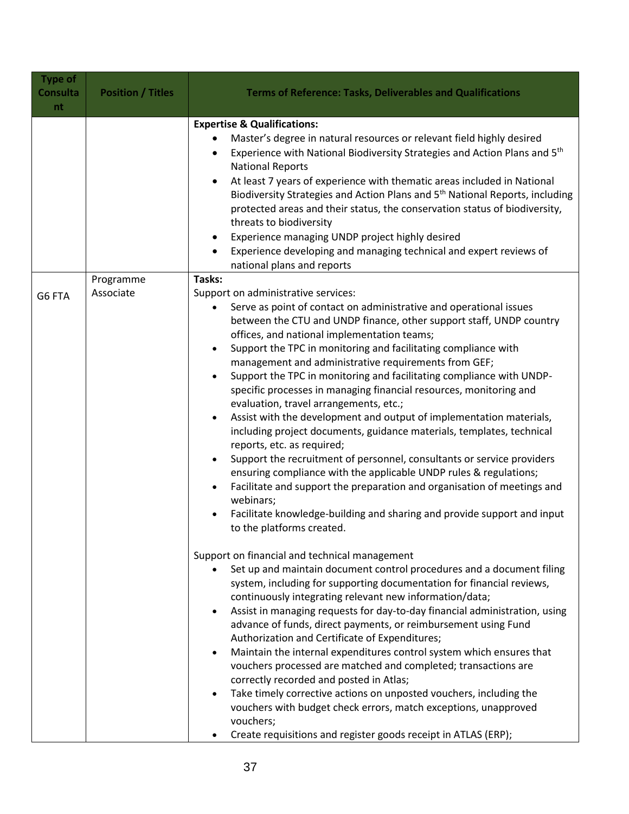| <b>Type of</b><br><b>Consulta</b><br>nt | <b>Position / Titles</b> | <b>Terms of Reference: Tasks, Deliverables and Qualifications</b>                                                                                                                                                                                                                                                                                                                                                                                                                                                                                                                                                                                                                                                                                                                                                                                                                                                                                                                                                                                                              |
|-----------------------------------------|--------------------------|--------------------------------------------------------------------------------------------------------------------------------------------------------------------------------------------------------------------------------------------------------------------------------------------------------------------------------------------------------------------------------------------------------------------------------------------------------------------------------------------------------------------------------------------------------------------------------------------------------------------------------------------------------------------------------------------------------------------------------------------------------------------------------------------------------------------------------------------------------------------------------------------------------------------------------------------------------------------------------------------------------------------------------------------------------------------------------|
|                                         |                          | <b>Expertise &amp; Qualifications:</b>                                                                                                                                                                                                                                                                                                                                                                                                                                                                                                                                                                                                                                                                                                                                                                                                                                                                                                                                                                                                                                         |
|                                         |                          | Master's degree in natural resources or relevant field highly desired<br>Experience with National Biodiversity Strategies and Action Plans and 5 <sup>th</sup><br><b>National Reports</b><br>At least 7 years of experience with thematic areas included in National<br>Biodiversity Strategies and Action Plans and 5 <sup>th</sup> National Reports, including<br>protected areas and their status, the conservation status of biodiversity,<br>threats to biodiversity<br>Experience managing UNDP project highly desired<br>Experience developing and managing technical and expert reviews of<br>national plans and reports                                                                                                                                                                                                                                                                                                                                                                                                                                               |
|                                         | Programme                | Tasks:                                                                                                                                                                                                                                                                                                                                                                                                                                                                                                                                                                                                                                                                                                                                                                                                                                                                                                                                                                                                                                                                         |
| G6 FTA                                  | Associate                | Support on administrative services:<br>Serve as point of contact on administrative and operational issues<br>between the CTU and UNDP finance, other support staff, UNDP country<br>offices, and national implementation teams;<br>Support the TPC in monitoring and facilitating compliance with<br>management and administrative requirements from GEF;<br>Support the TPC in monitoring and facilitating compliance with UNDP-<br>specific processes in managing financial resources, monitoring and<br>evaluation, travel arrangements, etc.;<br>Assist with the development and output of implementation materials,<br>including project documents, guidance materials, templates, technical<br>reports, etc. as required;<br>Support the recruitment of personnel, consultants or service providers<br>ensuring compliance with the applicable UNDP rules & regulations;<br>Facilitate and support the preparation and organisation of meetings and<br>webinars;<br>Facilitate knowledge-building and sharing and provide support and input<br>to the platforms created. |
|                                         |                          | Support on financial and technical management<br>Set up and maintain document control procedures and a document filing<br>system, including for supporting documentation for financial reviews,<br>continuously integrating relevant new information/data;<br>Assist in managing requests for day-to-day financial administration, using<br>advance of funds, direct payments, or reimbursement using Fund<br>Authorization and Certificate of Expenditures;<br>Maintain the internal expenditures control system which ensures that<br>vouchers processed are matched and completed; transactions are<br>correctly recorded and posted in Atlas;<br>Take timely corrective actions on unposted vouchers, including the<br>vouchers with budget check errors, match exceptions, unapproved<br>vouchers;<br>Create requisitions and register goods receipt in ATLAS (ERP);                                                                                                                                                                                                      |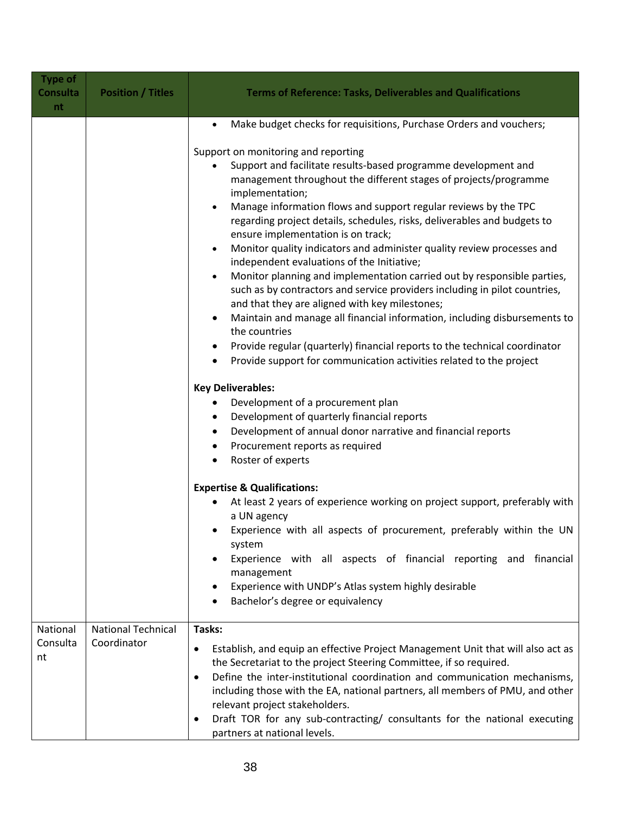| <b>Type of</b><br><b>Consulta</b><br>nt | <b>Position / Titles</b>                 | <b>Terms of Reference: Tasks, Deliverables and Qualifications</b>                                                                                                                                                                                                                                                                                                                                                                                                                                                                                                                                                                                                                                                                                                                                                                                                                                                                                                                    |
|-----------------------------------------|------------------------------------------|--------------------------------------------------------------------------------------------------------------------------------------------------------------------------------------------------------------------------------------------------------------------------------------------------------------------------------------------------------------------------------------------------------------------------------------------------------------------------------------------------------------------------------------------------------------------------------------------------------------------------------------------------------------------------------------------------------------------------------------------------------------------------------------------------------------------------------------------------------------------------------------------------------------------------------------------------------------------------------------|
|                                         |                                          | Make budget checks for requisitions, Purchase Orders and vouchers;<br>$\bullet$                                                                                                                                                                                                                                                                                                                                                                                                                                                                                                                                                                                                                                                                                                                                                                                                                                                                                                      |
|                                         |                                          | Support on monitoring and reporting<br>Support and facilitate results-based programme development and<br>management throughout the different stages of projects/programme<br>implementation;<br>Manage information flows and support regular reviews by the TPC<br>regarding project details, schedules, risks, deliverables and budgets to<br>ensure implementation is on track;<br>Monitor quality indicators and administer quality review processes and<br>independent evaluations of the Initiative;<br>Monitor planning and implementation carried out by responsible parties,<br>$\bullet$<br>such as by contractors and service providers including in pilot countries,<br>and that they are aligned with key milestones;<br>Maintain and manage all financial information, including disbursements to<br>the countries<br>Provide regular (quarterly) financial reports to the technical coordinator<br>Provide support for communication activities related to the project |
|                                         |                                          | <b>Key Deliverables:</b><br>Development of a procurement plan<br>Development of quarterly financial reports<br>٠<br>Development of annual donor narrative and financial reports<br>٠                                                                                                                                                                                                                                                                                                                                                                                                                                                                                                                                                                                                                                                                                                                                                                                                 |
|                                         |                                          | Procurement reports as required<br>Roster of experts                                                                                                                                                                                                                                                                                                                                                                                                                                                                                                                                                                                                                                                                                                                                                                                                                                                                                                                                 |
|                                         |                                          | <b>Expertise &amp; Qualifications:</b><br>At least 2 years of experience working on project support, preferably with<br>a UN agency<br>Experience with all aspects of procurement, preferably within the UN<br>system<br>Experience with all aspects of financial reporting and financial<br>management<br>Experience with UNDP's Atlas system highly desirable<br>Bachelor's degree or equivalency                                                                                                                                                                                                                                                                                                                                                                                                                                                                                                                                                                                  |
| National<br>Consulta<br>nt              | <b>National Technical</b><br>Coordinator | Tasks:<br>Establish, and equip an effective Project Management Unit that will also act as<br>$\bullet$<br>the Secretariat to the project Steering Committee, if so required.<br>Define the inter-institutional coordination and communication mechanisms,<br>$\bullet$<br>including those with the EA, national partners, all members of PMU, and other<br>relevant project stakeholders.<br>Draft TOR for any sub-contracting/ consultants for the national executing<br>٠<br>partners at national levels.                                                                                                                                                                                                                                                                                                                                                                                                                                                                          |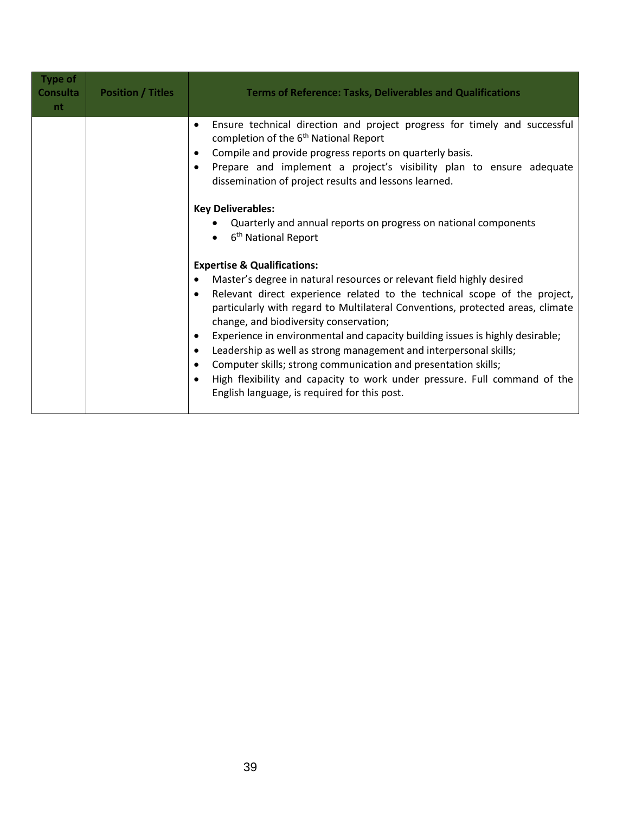| <b>Type of</b><br><b>Consulta</b><br>nt. | <b>Position / Titles</b> | <b>Terms of Reference: Tasks, Deliverables and Qualifications</b>                                                                                                                                                                                                                                                                                                                                                                                                                                                                                                                                                                                                                                                                              |
|------------------------------------------|--------------------------|------------------------------------------------------------------------------------------------------------------------------------------------------------------------------------------------------------------------------------------------------------------------------------------------------------------------------------------------------------------------------------------------------------------------------------------------------------------------------------------------------------------------------------------------------------------------------------------------------------------------------------------------------------------------------------------------------------------------------------------------|
|                                          |                          | Ensure technical direction and project progress for timely and successful<br>$\bullet$<br>completion of the 6 <sup>th</sup> National Report<br>Compile and provide progress reports on quarterly basis.<br>$\bullet$<br>Prepare and implement a project's visibility plan to ensure adequate<br>$\bullet$<br>dissemination of project results and lessons learned.<br><b>Key Deliverables:</b>                                                                                                                                                                                                                                                                                                                                                 |
|                                          |                          | Quarterly and annual reports on progress on national components<br>6 <sup>th</sup> National Report                                                                                                                                                                                                                                                                                                                                                                                                                                                                                                                                                                                                                                             |
|                                          |                          | <b>Expertise &amp; Qualifications:</b><br>Master's degree in natural resources or relevant field highly desired<br>Relevant direct experience related to the technical scope of the project,<br>$\bullet$<br>particularly with regard to Multilateral Conventions, protected areas, climate<br>change, and biodiversity conservation;<br>Experience in environmental and capacity building issues is highly desirable;<br>$\bullet$<br>Leadership as well as strong management and interpersonal skills;<br>$\bullet$<br>Computer skills; strong communication and presentation skills;<br>$\bullet$<br>High flexibility and capacity to work under pressure. Full command of the<br>$\bullet$<br>English language, is required for this post. |